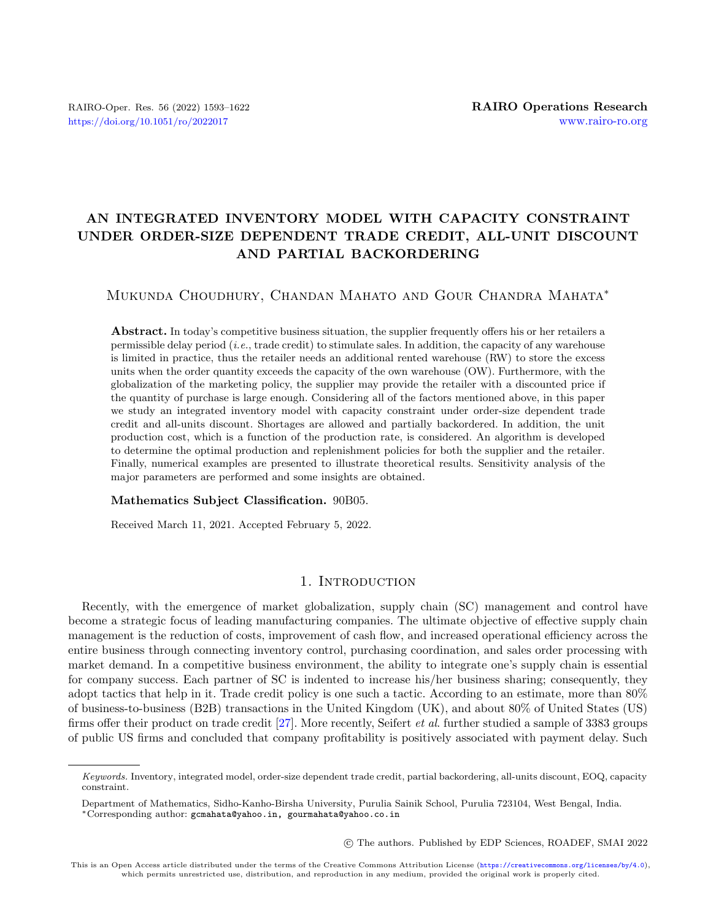## AN INTEGRATED INVENTORY MODEL WITH CAPACITY CONSTRAINT UNDER ORDER-SIZE DEPENDENT TRADE CREDIT, ALL-UNIT DISCOUNT AND PARTIAL BACKORDERING

#### Mukunda Choudhury, Chandan Mahato and Gour Chandra Mahata\*

Abstract. In today's competitive business situation, the supplier frequently offers his or her retailers a permissible delay period (i.e., trade credit) to stimulate sales. In addition, the capacity of any warehouse is limited in practice, thus the retailer needs an additional rented warehouse (RW) to store the excess units when the order quantity exceeds the capacity of the own warehouse (OW). Furthermore, with the globalization of the marketing policy, the supplier may provide the retailer with a discounted price if the quantity of purchase is large enough. Considering all of the factors mentioned above, in this paper we study an integrated inventory model with capacity constraint under order-size dependent trade credit and all-units discount. Shortages are allowed and partially backordered. In addition, the unit production cost, which is a function of the production rate, is considered. An algorithm is developed to determine the optimal production and replenishment policies for both the supplier and the retailer. Finally, numerical examples are presented to illustrate theoretical results. Sensitivity analysis of the major parameters are performed and some insights are obtained.

#### Mathematics Subject Classification. 90B05.

Received March 11, 2021. Accepted February 5, 2022.

#### 1. INTRODUCTION

Recently, with the emergence of market globalization, supply chain (SC) management and control have become a strategic focus of leading manufacturing companies. The ultimate objective of effective supply chain management is the reduction of costs, improvement of cash flow, and increased operational efficiency across the entire business through connecting inventory control, purchasing coordination, and sales order processing with market demand. In a competitive business environment, the ability to integrate one's supply chain is essential for company success. Each partner of SC is indented to increase his/her business sharing; consequently, they adopt tactics that help in it. Trade credit policy is one such a tactic. According to an estimate, more than 80% of business-to-business (B2B) transactions in the United Kingdom (UK), and about 80% of United States (US) firms offer their product on trade credit [\[27\]](#page-29-0). More recently, Seifert et al. further studied a sample of 3383 groups of public US firms and concluded that company profitability is positively associated with payment delay. Such

○c The authors. Published by EDP Sciences, ROADEF, SMAI 2022

Keywords. Inventory, integrated model, order-size dependent trade credit, partial backordering, all-units discount, EOQ, capacity constraint.

Department of Mathematics, Sidho-Kanho-Birsha University, Purulia Sainik School, Purulia 723104, West Bengal, India. \*Corresponding author: [gcmahata@yahoo.in, gourmahata@yahoo.co.in](mailto:gcmahata@yahoo.in, gourmahata@yahoo.co.in)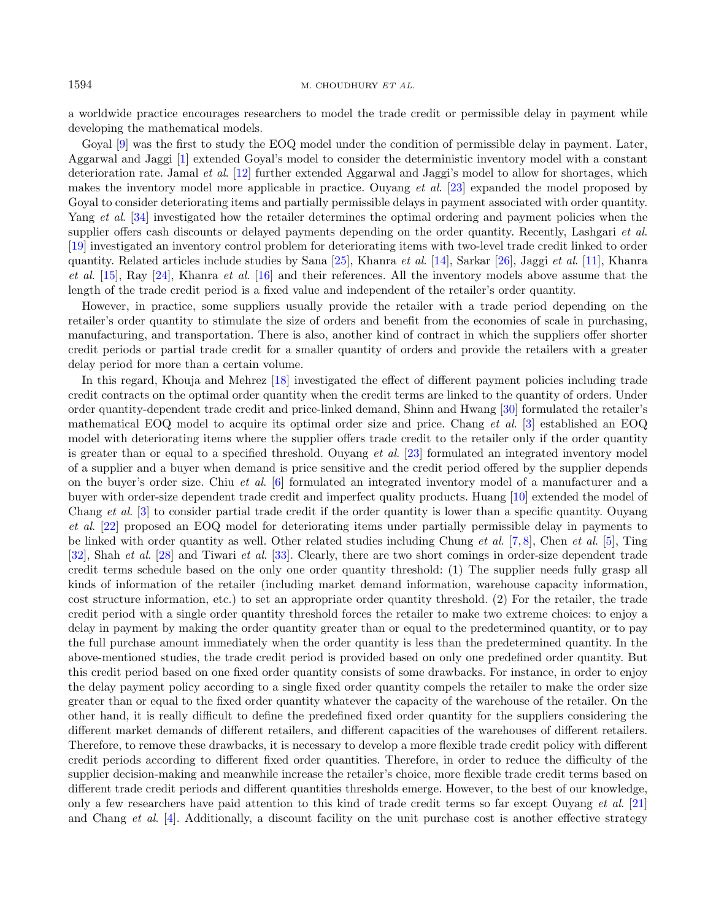a worldwide practice encourages researchers to model the trade credit or permissible delay in payment while developing the mathematical models.

Goyal [\[9\]](#page-28-0) was the first to study the EOQ model under the condition of permissible delay in payment. Later, Aggarwal and Jaggi [\[1\]](#page-28-1) extended Goyal's model to consider the deterministic inventory model with a constant deterioration rate. Jamal et al. [\[12\]](#page-29-1) further extended Aggarwal and Jaggi's model to allow for shortages, which makes the inventory model more applicable in practice. Ouyang et al. [\[23\]](#page-29-2) expanded the model proposed by Goyal to consider deteriorating items and partially permissible delays in payment associated with order quantity. Yang *et al.* [\[34\]](#page-29-3) investigated how the retailer determines the optimal ordering and payment policies when the supplier offers cash discounts or delayed payments depending on the order quantity. Recently, Lashgari *et al.* [\[19\]](#page-29-4) investigated an inventory control problem for deteriorating items with two-level trade credit linked to order quantity. Related articles include studies by Sana [\[25\]](#page-29-5), Khanra et al. [\[14\]](#page-29-6), Sarkar [\[26\]](#page-29-7), Jaggi et al. [\[11\]](#page-28-2), Khanra et al.  $[15]$ , Ray  $[24]$ , Khanra et al.  $[16]$  and their references. All the inventory models above assume that the length of the trade credit period is a fixed value and independent of the retailer's order quantity.

However, in practice, some suppliers usually provide the retailer with a trade period depending on the retailer's order quantity to stimulate the size of orders and benefit from the economies of scale in purchasing, manufacturing, and transportation. There is also, another kind of contract in which the suppliers offer shorter credit periods or partial trade credit for a smaller quantity of orders and provide the retailers with a greater delay period for more than a certain volume.

In this regard, Khouja and Mehrez [\[18\]](#page-29-11) investigated the effect of different payment policies including trade credit contracts on the optimal order quantity when the credit terms are linked to the quantity of orders. Under order quantity-dependent trade credit and price-linked demand, Shinn and Hwang [\[30\]](#page-29-12) formulated the retailer's mathematical EOQ model to acquire its optimal order size and price. Chang et al. [\[3\]](#page-28-3) established an EOQ model with deteriorating items where the supplier offers trade credit to the retailer only if the order quantity is greater than or equal to a specified threshold. Ouyang et al. [\[23\]](#page-29-2) formulated an integrated inventory model of a supplier and a buyer when demand is price sensitive and the credit period offered by the supplier depends on the buyer's order size. Chiu et al. [\[6\]](#page-28-4) formulated an integrated inventory model of a manufacturer and a buyer with order-size dependent trade credit and imperfect quality products. Huang [\[10\]](#page-28-5) extended the model of Chang et al. [\[3\]](#page-28-3) to consider partial trade credit if the order quantity is lower than a specific quantity. Ouyang et al. [\[22\]](#page-29-13) proposed an EOQ model for deteriorating items under partially permissible delay in payments to be linked with order quantity as well. Other related studies including Chung et al.  $[7, 8]$  $[7, 8]$  $[7, 8]$ , Chen et al.  $[5]$ , Ting [\[32\]](#page-29-14), Shah et al. [\[28\]](#page-29-15) and Tiwari et al. [\[33\]](#page-29-16). Clearly, there are two short comings in order-size dependent trade credit terms schedule based on the only one order quantity threshold: (1) The supplier needs fully grasp all kinds of information of the retailer (including market demand information, warehouse capacity information, cost structure information, etc.) to set an appropriate order quantity threshold. (2) For the retailer, the trade credit period with a single order quantity threshold forces the retailer to make two extreme choices: to enjoy a delay in payment by making the order quantity greater than or equal to the predetermined quantity, or to pay the full purchase amount immediately when the order quantity is less than the predetermined quantity. In the above-mentioned studies, the trade credit period is provided based on only one predefined order quantity. But this credit period based on one fixed order quantity consists of some drawbacks. For instance, in order to enjoy the delay payment policy according to a single fixed order quantity compels the retailer to make the order size greater than or equal to the fixed order quantity whatever the capacity of the warehouse of the retailer. On the other hand, it is really difficult to define the predefined fixed order quantity for the suppliers considering the different market demands of different retailers, and different capacities of the warehouses of different retailers. Therefore, to remove these drawbacks, it is necessary to develop a more flexible trade credit policy with different credit periods according to different fixed order quantities. Therefore, in order to reduce the difficulty of the supplier decision-making and meanwhile increase the retailer's choice, more flexible trade credit terms based on different trade credit periods and different quantities thresholds emerge. However, to the best of our knowledge, only a few researchers have paid attention to this kind of trade credit terms so far except Ouyang et al. [\[21\]](#page-29-17) and Chang et al. [\[4\]](#page-28-9). Additionally, a discount facility on the unit purchase cost is another effective strategy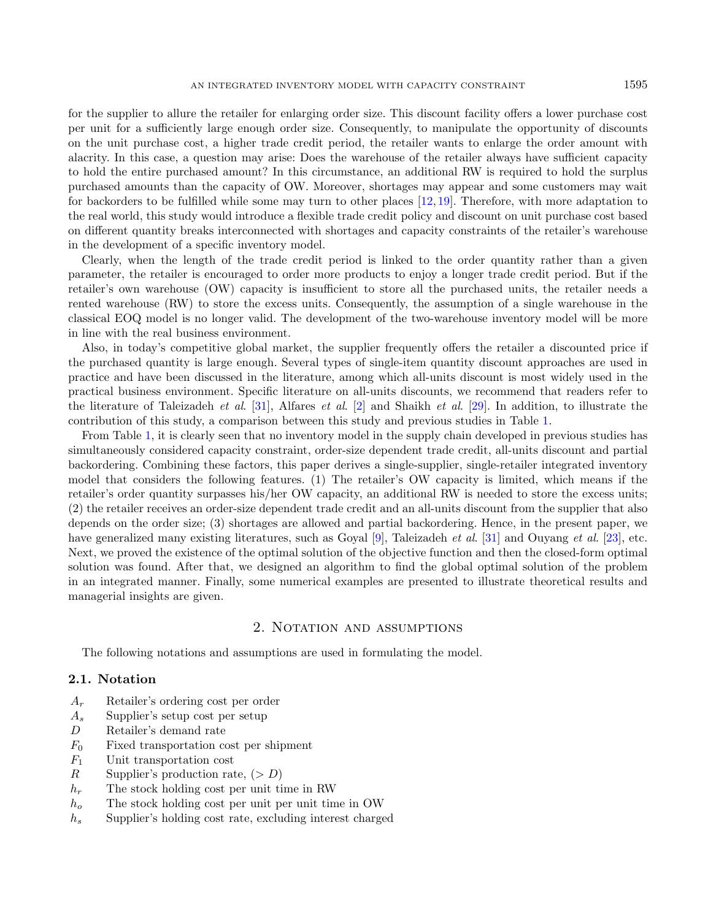for the supplier to allure the retailer for enlarging order size. This discount facility offers a lower purchase cost per unit for a sufficiently large enough order size. Consequently, to manipulate the opportunity of discounts on the unit purchase cost, a higher trade credit period, the retailer wants to enlarge the order amount with alacrity. In this case, a question may arise: Does the warehouse of the retailer always have sufficient capacity to hold the entire purchased amount? In this circumstance, an additional RW is required to hold the surplus purchased amounts than the capacity of OW. Moreover, shortages may appear and some customers may wait for backorders to be fulfilled while some may turn to other places [\[12,](#page-29-1) [19\]](#page-29-4). Therefore, with more adaptation to the real world, this study would introduce a flexible trade credit policy and discount on unit purchase cost based on different quantity breaks interconnected with shortages and capacity constraints of the retailer's warehouse in the development of a specific inventory model.

Clearly, when the length of the trade credit period is linked to the order quantity rather than a given parameter, the retailer is encouraged to order more products to enjoy a longer trade credit period. But if the retailer's own warehouse (OW) capacity is insufficient to store all the purchased units, the retailer needs a rented warehouse (RW) to store the excess units. Consequently, the assumption of a single warehouse in the classical EOQ model is no longer valid. The development of the two-warehouse inventory model will be more in line with the real business environment.

Also, in today's competitive global market, the supplier frequently offers the retailer a discounted price if the purchased quantity is large enough. Several types of single-item quantity discount approaches are used in practice and have been discussed in the literature, among which all-units discount is most widely used in the practical business environment. Specific literature on all-units discounts, we recommend that readers refer to the literature of Taleizadeh et al. [\[31\]](#page-29-18), Alfares et al. [\[2\]](#page-28-10) and Shaikh et al. [\[29\]](#page-29-19). In addition, to illustrate the contribution of this study, a comparison between this study and previous studies in Table [1.](#page-3-0)

From Table [1,](#page-3-0) it is clearly seen that no inventory model in the supply chain developed in previous studies has simultaneously considered capacity constraint, order-size dependent trade credit, all-units discount and partial backordering. Combining these factors, this paper derives a single-supplier, single-retailer integrated inventory model that considers the following features. (1) The retailer's OW capacity is limited, which means if the retailer's order quantity surpasses his/her OW capacity, an additional RW is needed to store the excess units; (2) the retailer receives an order-size dependent trade credit and an all-units discount from the supplier that also depends on the order size; (3) shortages are allowed and partial backordering. Hence, in the present paper, we have generalized many existing literatures, such as Goyal [\[9\]](#page-28-0), Taleizadeh *et al.* [\[31\]](#page-29-18) and Ouyang *et al.* [\[23\]](#page-29-2), etc. Next, we proved the existence of the optimal solution of the objective function and then the closed-form optimal solution was found. After that, we designed an algorithm to find the global optimal solution of the problem in an integrated manner. Finally, some numerical examples are presented to illustrate theoretical results and managerial insights are given.

#### 2. NOTATION AND ASSUMPTIONS

The following notations and assumptions are used in formulating the model.

#### 2.1. Notation

- $A_r$  Retailer's ordering cost per order
- $A_s$  Supplier's setup cost per setup
- D Retailer's demand rate
- $F_0$  Fixed transportation cost per shipment
- $F_1$  Unit transportation cost
- R Supplier's production rate,  $(> D)$
- $h_r$  The stock holding cost per unit time in RW
- $h_o$  The stock holding cost per unit per unit time in OW
- $h_s$  Supplier's holding cost rate, excluding interest charged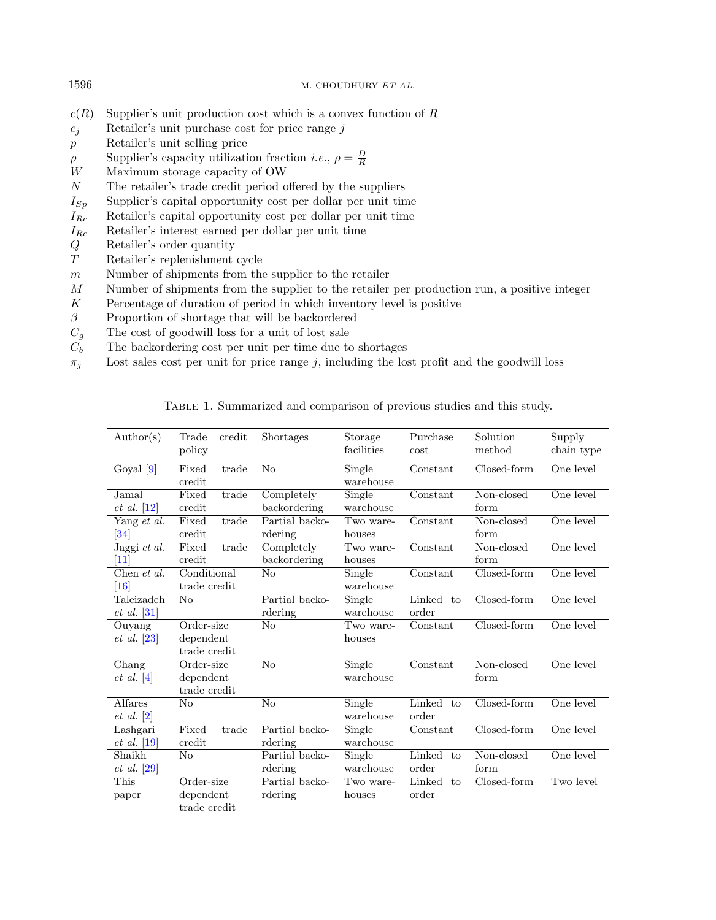- $c(R)$  Supplier's unit production cost which is a convex function of R
- $c_j$  Retailer's unit purchase cost for price range  $j$
- Retailer's unit selling price
- $\rho$  Supplier's capacity utilization fraction *i.e.*,  $\rho = \frac{D}{R}$
- W Maximum storage capacity of OW
- $N$  The retailer's trade credit period offered by the suppliers
- $I_{Sp}$  Supplier's capital opportunity cost per dollar per unit time
- $I_{Rc}$  Retailer's capital opportunity cost per dollar per unit time
- <span id="page-3-0"></span> $I_{Re}$  Retailer's interest earned per dollar per unit time
- Retailer's order quantity
- Retailer's replenishment cycle
- $m$  Number of shipments from the supplier to the retailer
- Number of shipments from the supplier to the retailer per production run, a positive integer
- $K$  Percentage of duration of period in which inventory level is positive
- $\beta$  Proportion of shortage that will be backordered
- 
- $C_g$  The cost of goodwill loss for a unit of lost sale<br>  $C_b$  The backordering cost per unit per time due to The backordering cost per unit per time due to shortages
- $\pi_j$  Lost sales cost per unit for price range j, including the lost profit and the goodwill loss

Table 1. Summarized and comparison of previous studies and this study.

| $\text{Author}(s)$                            | Trade<br>credit<br>policy               | <b>Shortages</b>           | Storage<br>facilities | Purchase<br>cost             | Solution<br>method | Supply<br>chain type |
|-----------------------------------------------|-----------------------------------------|----------------------------|-----------------------|------------------------------|--------------------|----------------------|
| Goyal $[9]$                                   | Fixed<br>trade<br>credit                | No                         | Single<br>warehouse   | Constant                     | Closed-form        | One level            |
| Jamal<br>$et \ al. [12]$                      | Fixed<br>trade<br>credit                | Completely<br>backordering | Single<br>warehouse   | Constant                     | Non-closed<br>form | One level            |
| Yang et al.<br>$\left 34\right $              | Fixed<br>trade<br>credit                | Partial backo-<br>rdering  | Two ware-<br>houses   | Constant                     | Non-closed<br>form | One level            |
| Jaggi et al.<br>$[11]$                        | trade<br>Fixed<br>credit                | Completely<br>backordering | Two ware-<br>houses   | Constant                     | Non-closed<br>form | One level            |
| Chen et al.<br>$\vert 16 \vert$               | Conditional<br>trade credit             | No                         | Single<br>warehouse   | Constant                     | Closed-form        | One level            |
| Taleizadeh<br>$et \ al. [31]$                 | No                                      | Partial backo-<br>rdering  | Single<br>warehouse   | Linked to<br>order           | Closed-form        | One level            |
| Ouyang<br>$et \ al. [23]$                     | Order-size<br>dependent<br>trade credit | No                         | Two ware-<br>houses   | Constant                     | Closed-form        | One level            |
| $\overline{\text{Chang}}$<br>$et \ al. \ [4]$ | Order-size<br>dependent<br>trade credit | No                         | Single<br>warehouse   | Constant                     | Non-closed<br>form | One level            |
| Alfares<br>$et \ al. \ [2]$                   | No                                      | $\overline{\text{No}}$     | Single<br>warehouse   | Linked to<br>order           | Closed-form        | One level            |
| Lashgari<br>$et \ al. [19]$                   | Fixed<br>trade<br>credit                | Partial backo-<br>rdering  | Single<br>warehouse   | $\overline{\text{Constant}}$ | $Closed-form$      | One level            |
| Shaikh<br>$et \ al.$ [29]                     | No                                      | Partial backo-<br>rdering  | Single<br>warehouse   | Linked to<br>order           | Non-closed<br>form | One level            |
| This<br>paper                                 | Order-size<br>dependent<br>trade credit | Partial backo-<br>rdering  | Two ware-<br>houses   | Linked to<br>order           | Closed-form        | Two level            |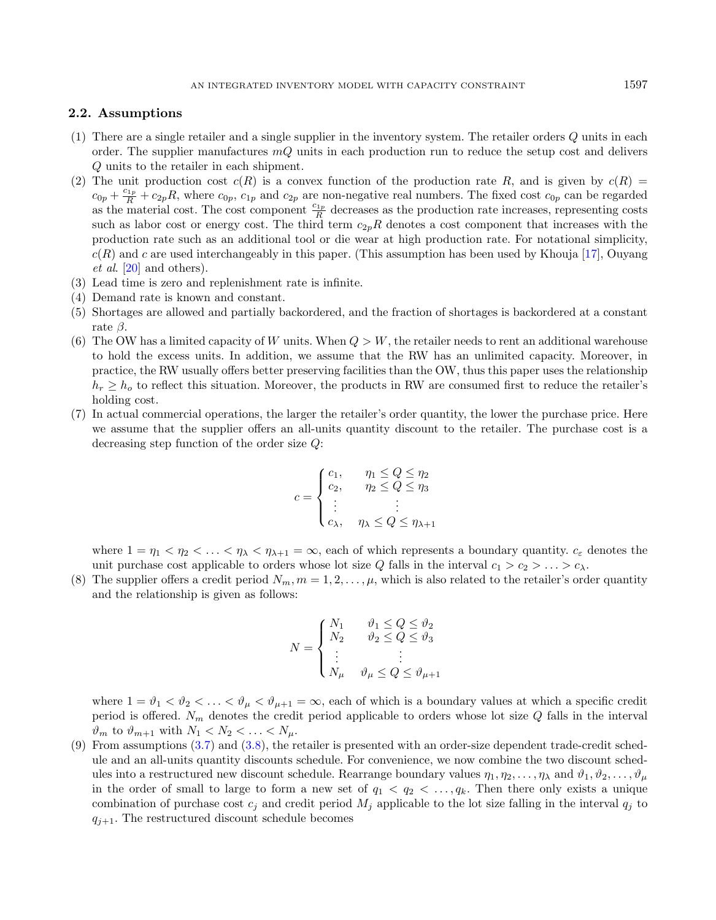#### 2.2. Assumptions

- (1) There are a single retailer and a single supplier in the inventory system. The retailer orders  $Q$  units in each order. The supplier manufactures  $mQ$  units in each production run to reduce the setup cost and delivers Q units to the retailer in each shipment.
- (2) The unit production cost  $c(R)$  is a convex function of the production rate R, and is given by  $c(R)$  $c_{0p} + \frac{c_{1p}}{R} + c_{2p}R$ , where  $c_{0p}$ ,  $c_{1p}$  and  $c_{2p}$  are non-negative real numbers. The fixed cost  $c_{0p}$  can be regarded as the material cost. The cost component  $\frac{c_{1p}}{R}$  decreases as the production rate increases, representing costs such as labor cost or energy cost. The third term  $c_{2p}R$  denotes a cost component that increases with the production rate such as an additional tool or die wear at high production rate. For notational simplicity,  $c(R)$  and c are used interchangeably in this paper. (This assumption has been used by Khouja [\[17\]](#page-29-20), Ouyang et al. [\[20\]](#page-29-21) and others).
- (3) Lead time is zero and replenishment rate is infinite.
- (4) Demand rate is known and constant.
- (5) Shortages are allowed and partially backordered, and the fraction of shortages is backordered at a constant rate  $\beta$ .
- (6) The OW has a limited capacity of W units. When  $Q > W$ , the retailer needs to rent an additional warehouse to hold the excess units. In addition, we assume that the RW has an unlimited capacity. Moreover, in practice, the RW usually offers better preserving facilities than the OW, thus this paper uses the relationship  $h_r \geq h_o$  to reflect this situation. Moreover, the products in RW are consumed first to reduce the retailer's holding cost.
- (7) In actual commercial operations, the larger the retailer's order quantity, the lower the purchase price. Here we assume that the supplier offers an all-units quantity discount to the retailer. The purchase cost is a decreasing step function of the order size  $Q$ :

$$
c = \begin{cases} c_1, & \eta_1 \le Q \le \eta_2 \\ c_2, & \eta_2 \le Q \le \eta_3 \\ \vdots & \vdots \\ c_{\lambda}, & \eta_{\lambda} \le Q \le \eta_{\lambda+1} \end{cases}
$$

where  $1 = \eta_1 < \eta_2 < \ldots < \eta_\lambda < \eta_{\lambda+1} = \infty$ , each of which represents a boundary quantity.  $c_{\varepsilon}$  denotes the unit purchase cost applicable to orders whose lot size Q falls in the interval  $c_1 > c_2 > \ldots > c_\lambda$ .

(8) The supplier offers a credit period  $N_m$ ,  $m = 1, 2, \ldots, \mu$ , which is also related to the retailer's order quantity and the relationship is given as follows:

$$
N = \begin{cases} N_1 & \vartheta_1 \le Q \le \vartheta_2 \\ N_2 & \vartheta_2 \le Q \le \vartheta_3 \\ \vdots & \vdots \\ N_{\mu} & \vartheta_{\mu} \le Q \le \vartheta_{\mu+1} \end{cases}
$$

where  $1 = \vartheta_1 < \vartheta_2 < \ldots < \vartheta_\mu < \vartheta_{\mu+1} = \infty$ , each of which is a boundary values at which a specific credit period is offered.  $N_m$  denotes the credit period applicable to orders whose lot size  $Q$  falls in the interval  $\vartheta_m$  to  $\vartheta_{m+1}$  with  $N_1 < N_2 < \ldots < N_\mu$ .

(9) From assumptions [\(3.7\)](#page-8-0) and [\(3.8\)](#page-8-1), the retailer is presented with an order-size dependent trade-credit schedule and an all-units quantity discounts schedule. For convenience, we now combine the two discount schedules into a restructured new discount schedule. Rearrange boundary values  $\eta_1, \eta_2, \ldots, \eta_\lambda$  and  $\vartheta_1, \vartheta_2, \ldots, \vartheta_\mu$ in the order of small to large to form a new set of  $q_1 < q_2 < \ldots, q_k$ . Then there only exists a unique combination of purchase cost  $c_j$  and credit period  $M_j$  applicable to the lot size falling in the interval  $q_j$  to  $q_{i+1}$ . The restructured discount schedule becomes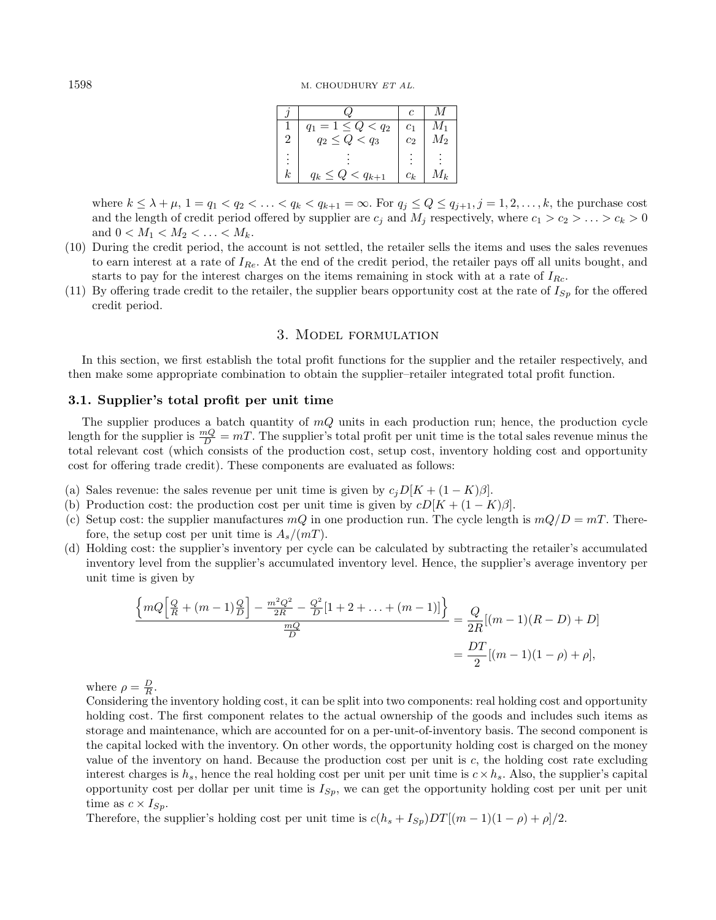|                      |                                        | c              |                    |
|----------------------|----------------------------------------|----------------|--------------------|
|                      | $= 1 \leq Q < q_2$                     | c <sub>1</sub> | $M_1$              |
| 2                    | $q_2 \leq Q < q_3$                     | $c_2$          | $\scriptstyle M_2$ |
| $\ddot{\phantom{a}}$ |                                        |                |                    |
| k.                   | $\leq q_{k+1}$<br>$\langle$ Q<br>$q_k$ | $c_k$          | $A_k$              |

where  $k \leq \lambda + \mu$ ,  $1 = q_1 < q_2 < \ldots < q_k < q_{k+1} = \infty$ . For  $q_j \leq Q \leq q_{j+1}, j = 1, 2, \ldots, k$ , the purchase cost and the length of credit period offered by supplier are  $c_i$  and  $M_i$  respectively, where  $c_1 > c_2 > \ldots > c_k > 0$ and  $0 < M_1 < M_2 < \ldots < M_k$ .

- (10) During the credit period, the account is not settled, the retailer sells the items and uses the sales revenues to earn interest at a rate of  $I_{Re}$ . At the end of the credit period, the retailer pays off all units bought, and starts to pay for the interest charges on the items remaining in stock with at a rate of  $I_{Rc}$ .
- (11) By offering trade credit to the retailer, the supplier bears opportunity cost at the rate of  $I_{Sp}$  for the offered credit period.

#### 3. Model formulation

In this section, we first establish the total profit functions for the supplier and the retailer respectively, and then make some appropriate combination to obtain the supplier–retailer integrated total profit function.

#### 3.1. Supplier's total profit per unit time

The supplier produces a batch quantity of  $mQ$  units in each production run; hence, the production cycle length for the supplier is  $\frac{mQ}{D} = mT$ . The supplier's total profit per unit time is the total sales revenue minus the total relevant cost (which consists of the production cost, setup cost, inventory holding cost and opportunity cost for offering trade credit). These components are evaluated as follows:

- (a) Sales revenue: the sales revenue per unit time is given by  $c_i D[K + (1 K)\beta]$ .
- (b) Production cost: the production cost per unit time is given by  $cD[K + (1 K)\beta]$ .
- (c) Setup cost: the supplier manufactures  $mQ$  in one production run. The cycle length is  $mQ/D = mT$ . Therefore, the setup cost per unit time is  $A_s/(mT)$ .
- (d) Holding cost: the supplier's inventory per cycle can be calculated by subtracting the retailer's accumulated inventory level from the supplier's accumulated inventory level. Hence, the supplier's average inventory per unit time is given by

$$
\frac{\left\{mQ\left[\frac{Q}{R} + (m-1)\frac{Q}{D}\right] - \frac{m^2Q^2}{2R} - \frac{Q^2}{D}[1+2+\ldots+(m-1)]\right\}}{\frac{mQ}{D}} = \frac{Q}{2R}[(m-1)(R-D) + D]
$$

$$
= \frac{DT}{2}[(m-1)(1-\rho) + \rho],
$$

where  $\rho = \frac{D}{R}$ .

Considering the inventory holding cost, it can be split into two components: real holding cost and opportunity holding cost. The first component relates to the actual ownership of the goods and includes such items as storage and maintenance, which are accounted for on a per-unit-of-inventory basis. The second component is the capital locked with the inventory. On other words, the opportunity holding cost is charged on the money value of the inventory on hand. Because the production cost per unit is  $c$ , the holding cost rate excluding interest charges is  $h_s$ , hence the real holding cost per unit per unit time is  $c \times h_s$ . Also, the supplier's capital opportunity cost per dollar per unit time is  $I_{Sp}$ , we can get the opportunity holding cost per unit per unit time as  $c \times I_{Sp}$ .

Therefore, the supplier's holding cost per unit time is  $c(h_s + I_{Sp})DT[(m-1)(1 - \rho) + \rho]/2$ .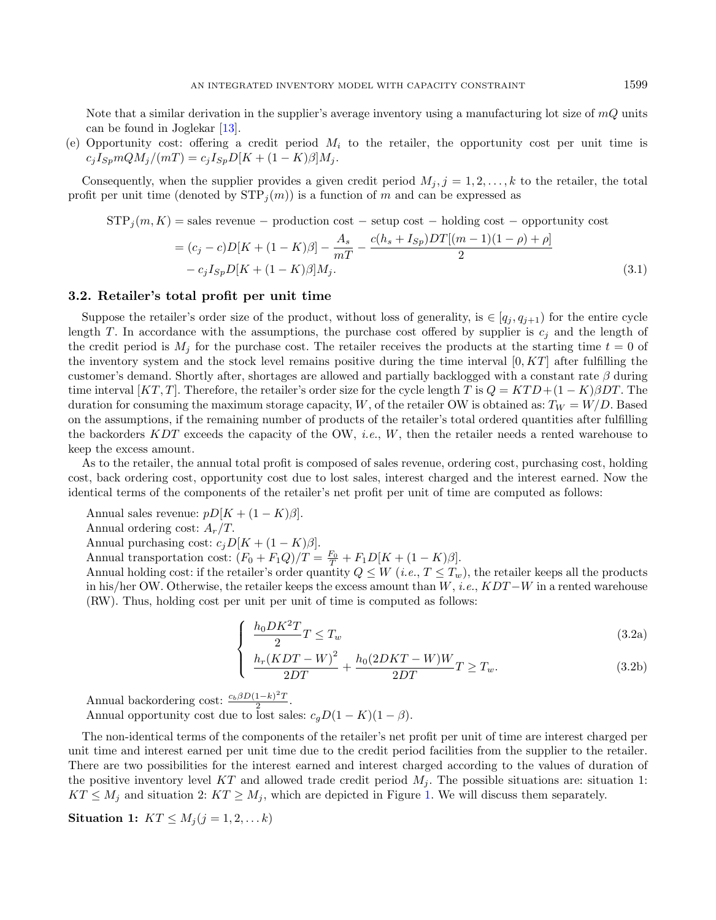Note that a similar derivation in the supplier's average inventory using a manufacturing lot size of  $mQ$  units can be found in Joglekar [\[13\]](#page-29-22).

(e) Opportunity cost: offering a credit period  $M_i$  to the retailer, the opportunity cost per unit time is  $c_i I_{Sp} m Q M_i / (mT) = c_i I_{Sp} D [K + (1 - K)\beta] M_i.$ 

Consequently, when the supplier provides a given credit period  $M_j$ ,  $j = 1, 2, \ldots, k$  to the retailer, the total profit per unit time (denoted by  $STP_i(m)$ ) is a function of m and can be expressed as

$$
STP_j(m, K) = \text{sales revenue} - \text{production cost} - \text{setup cost} - \text{holding cost} - \text{opportunity cost}
$$

$$
= (c_j - c)D[K + (1 - K)\beta] - \frac{A_s}{mT} - \frac{c(h_s + I_{Sp})DT[(m - 1)(1 - \rho) + \rho]}{2}
$$

$$
- c_j I_{Sp}D[K + (1 - K)\beta]M_j. \tag{3.1}
$$

#### <span id="page-6-1"></span>3.2. Retailer's total profit per unit time

Suppose the retailer's order size of the product, without loss of generality, is  $\in [q_j, q_{j+1})$  for the entire cycle length T. In accordance with the assumptions, the purchase cost offered by supplier is  $c_j$  and the length of the credit period is  $M_i$  for the purchase cost. The retailer receives the products at the starting time  $t = 0$  of the inventory system and the stock level remains positive during the time interval  $[0, KT]$  after fulfilling the customer's demand. Shortly after, shortages are allowed and partially backlogged with a constant rate  $\beta$  during time interval  $[KT, T]$ . Therefore, the retailer's order size for the cycle length T is  $Q = KTD + (1 - K)\beta DT$ . The duration for consuming the maximum storage capacity, W, of the retailer OW is obtained as:  $T_W = W/D$ . Based on the assumptions, if the remaining number of products of the retailer's total ordered quantities after fulfilling the backorders  $KDT$  exceeds the capacity of the OW, *i.e.*, W, then the retailer needs a rented warehouse to keep the excess amount.

<span id="page-6-0"></span>As to the retailer, the annual total profit is composed of sales revenue, ordering cost, purchasing cost, holding cost, back ordering cost, opportunity cost due to lost sales, interest charged and the interest earned. Now the identical terms of the components of the retailer's net profit per unit of time are computed as follows:

Annual sales revenue:  $pD[K + (1 - K)\beta].$ 

Annual ordering cost:  $A_r/T$ .

Annual purchasing cost:  $c_j D[K + (1 - K)\beta]$ .

Annual transportation cost:  $(F_0 + F_1 Q)/T = \frac{F_0}{T} + F_1 D[K + (1 - K)\beta].$ 

Annual holding cost: if the retailer's order quantity  $Q \leq W$  (*i.e.*,  $T \leq T_w$ ), the retailer keeps all the products in his/her OW. Otherwise, the retailer keeps the excess amount than  $W$ , i.e.,  $KDT-W$  in a rented warehouse (RW). Thus, holding cost per unit per unit of time is computed as follows:

$$
\int \frac{h_0 D K^2 T}{2} T \le T_w \tag{3.2a}
$$

$$
\frac{h_r(KDT-W)^2}{2DT} + \frac{h_0(2DKT-W)W}{2DT}T \ge T_w.
$$
\n(3.2b)

Annual backordering cost:  $\frac{c_b \beta D (1-k)^2 T}{2}$  $\frac{1-\kappa}{2}$ .

Annual opportunity cost due to lost sales:  $c_g D(1 - K)(1 - \beta)$ .

The non-identical terms of the components of the retailer's net profit per unit of time are interest charged per unit time and interest earned per unit time due to the credit period facilities from the supplier to the retailer. There are two possibilities for the interest earned and interest charged according to the values of duration of the positive inventory level KT and allowed trade credit period  $M_i$ . The possible situations are: situation 1:  $KT \leq M_i$  and situation 2:  $KT \geq M_i$ , which are depicted in Figure [1.](#page-7-0) We will discuss them separately.

Situation 1:  $KT \leq M_i (j = 1, 2, \ldots k)$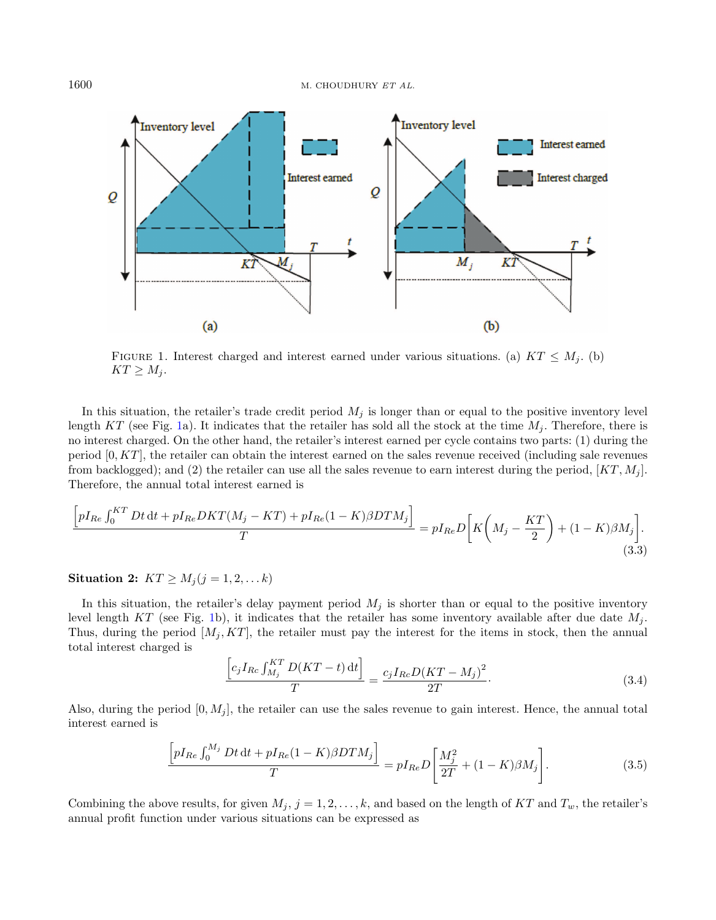<span id="page-7-0"></span>

FIGURE 1. Interest charged and interest earned under various situations. (a)  $KT \leq M_i$ . (b)  $KT \geq M_j$ .

In this situation, the retailer's trade credit period  $M_j$  is longer than or equal to the positive inventory level length  $KT$  (see Fig. [1a](#page-7-0)). It indicates that the retailer has sold all the stock at the time  $M_i$ . Therefore, there is no interest charged. On the other hand, the retailer's interest earned per cycle contains two parts: (1) during the period  $[0, KT]$ , the retailer can obtain the interest earned on the sales revenue received (including sale revenues from backlogged); and (2) the retailer can use all the sales revenue to earn interest during the period,  $[KT, M_i]$ . Therefore, the annual total interest earned is

<span id="page-7-2"></span><span id="page-7-1"></span>
$$
\frac{\left[pI_{Re}\int_{0}^{KT}Dt\,dt + pI_{Re}DKT(M_j - KT) + pI_{Re}(1 - K)\beta DTM_j\right]}{T} = pI_{Re}D\left[K\left(M_j - \frac{KT}{2}\right) + (1 - K)\beta M_j\right].
$$
\n(3.3)

Situation 2:  $KT \geq M_j (j = 1, 2, \ldots k)$ 

In this situation, the retailer's delay payment period  $M_j$  is shorter than or equal to the positive inventory level length KT (see Fig. [1b](#page-7-0)), it indicates that the retailer has some inventory available after due date  $M_i$ . Thus, during the period  $[M_i, KT]$ , the retailer must pay the interest for the items in stock, then the annual total interest charged is

<span id="page-7-3"></span>
$$
\frac{\left[c_{j}I_{Rc}\int_{M_{j}}^{KT}D(KT-t)\,dt\right]}{T} = \frac{c_{j}I_{Rc}D(KT-M_{j})^{2}}{2T}.
$$
\n(3.4)

Also, during the period  $[0, M_i]$ , the retailer can use the sales revenue to gain interest. Hence, the annual total interest earned is

$$
\frac{\left[ pI_{Re} \int_{0}^{M_{j}} Dt \, \mathrm{d}t + pI_{Re}(1-K)\beta DTM_{j} \right]}{T} = pI_{Re} D \left[ \frac{M_{j}^{2}}{2T} + (1-K)\beta M_{j} \right]. \tag{3.5}
$$

Combining the above results, for given  $M_j$ ,  $j = 1, 2, ..., k$ , and based on the length of KT and  $T_w$ , the retailer's annual profit function under various situations can be expressed as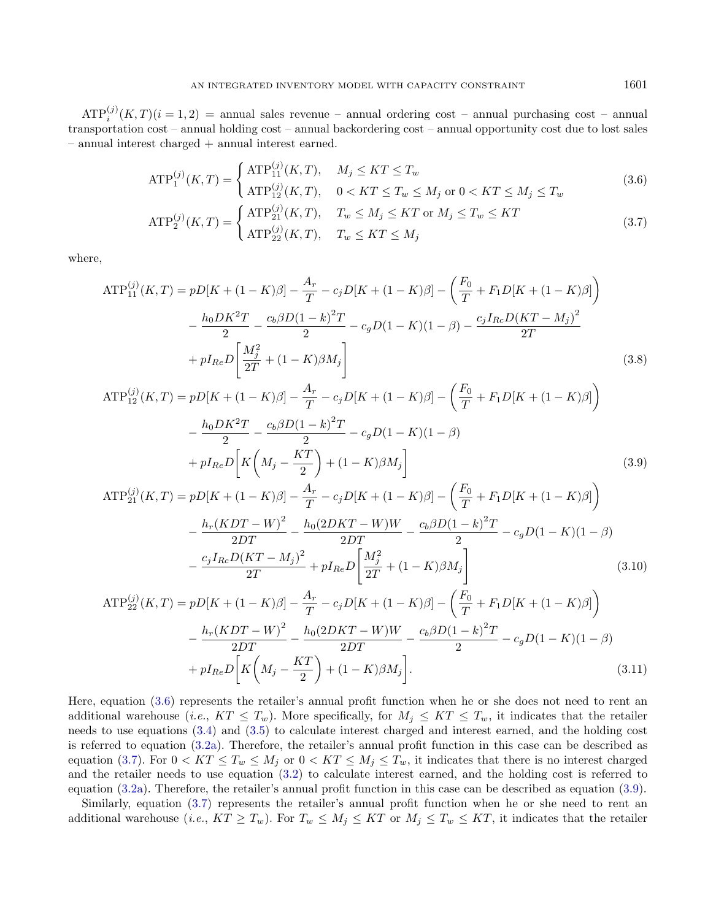$\text{ATP}_{i}^{(j)}(K,T)(i=1,2)$  = annual sales revenue – annual ordering cost – annual purchasing cost – annual transportation cost – annual holding cost – annual backordering cost – annual opportunity cost due to lost sales – annual interest charged + annual interest earned.

<span id="page-8-2"></span><span id="page-8-0"></span>
$$
\text{ATP}_{1}^{(j)}(K,T) = \begin{cases} \text{ATP}_{11}^{(j)}(K,T), & M_j \leq KT \leq T_w \\ \text{ATP}_{12}^{(j)}(K,T), & 0 < KT \leq T_w \leq M_j \text{ or } 0 < KT \leq M_j \leq T_w \end{cases} \tag{3.6}
$$
\n
$$
\text{ATP}_{21}^{(j)}(K,T), \quad T_w \leq M_j \leq KT \text{ or } M_j \leq T_w \leq KT \tag{3.7}
$$

<span id="page-8-4"></span><span id="page-8-3"></span><span id="page-8-1"></span>
$$
\text{ATP}_2^{(j)}(K,T) = \begin{cases} \text{ATP}_{21}^{(j)}(K,T), & T_w \le M_j \le KT \text{ or } M_j \le T_w \le KT\\ \text{ATP}_{22}^{(j)}(K,T), & T_w \le KT \le M_j \end{cases} \tag{3.7}
$$

where,

$$
ATP_{11}^{(j)}(K,T) = pD[K + (1 - K)\beta] - \frac{A_r}{T} - c_jD[K + (1 - K)\beta] - \left(\frac{F_0}{T} + F_1D[K + (1 - K)\beta]\right)
$$

$$
- \frac{h_0DK^2T}{2} - \frac{c_b\beta D(1 - k)^2T}{2} - c_gD(1 - K)(1 - \beta) - \frac{c_jI_{Rc}D(KT - M_j)^2}{2T}
$$

$$
+ pI_{Re}D\left[\frac{M_j^2}{2T} + (1 - K)\beta M_j\right]
$$
(3.8)

$$
ATP_{12}^{(j)}(K,T) = pD[K + (1 - K)\beta] - \frac{A_r}{T} - c_j D[K + (1 - K)\beta] - \left(\frac{F_0}{T} + F_1 D[K + (1 - K)\beta]\right)
$$

$$
- \frac{h_0 D K^2 T}{2} - \frac{c_b \beta D (1 - k)^2 T}{2} - c_g D (1 - K)(1 - \beta)
$$

$$
+ p I_{Re} D \left[ K \left(M_j - \frac{KT}{2}\right) + (1 - K)\beta M_j \right]
$$
(3.9)

<span id="page-8-5"></span>
$$
ATP_{21}^{(j)}(K,T) = pD[K + (1 - K)\beta] - \frac{A_r}{T} - c_j D[K + (1 - K)\beta] - \left(\frac{F_0}{T} + F_1 D[K + (1 - K)\beta]\right)
$$

$$
- \frac{h_r (KDT - W)^2}{2DT} - \frac{h_0 (2DKT - W)W}{2DT} - \frac{c_b \beta D (1 - k)^2 T}{2} - c_g D (1 - K)(1 - \beta)
$$

$$
- \frac{c_j I_{Rc} D (KT - M_j)^2}{2T} + p I_{Re} D \left[\frac{M_j^2}{2T} + (1 - K)\beta M_j\right]
$$
(3.10)

$$
ATP_{22}^{(j)}(K,T) = pD[K + (1 - K)\beta] - \frac{A_r}{T} - c_jD[K + (1 - K)\beta] - \left(\frac{F_0}{T} + F_1D[K + (1 - K)\beta]\right)
$$

$$
- \frac{h_r(KDT - W)^2}{2DT} - \frac{h_0(2DKT - W)W}{2DT} - \frac{c_b\beta D(1 - k)^2T}{2} - c_gD(1 - K)(1 - \beta)
$$

$$
+ pI_{Re}D\left[K\left(M_j - \frac{KT}{2}\right) + (1 - K)\beta M_j\right].
$$
(3.11)

Here, equation [\(3.6\)](#page-8-2) represents the retailer's annual profit function when he or she does not need to rent an additional warehouse (*i.e.*,  $KT \leq T_w$ ). More specifically, for  $M_j \leq KT \leq T_w$ , it indicates that the retailer needs to use equations [\(3.4\)](#page-7-1) and [\(3.5\)](#page-7-2) to calculate interest charged and interest earned, and the holding cost is referred to equation  $(3.2a)$ . Therefore, the retailer's annual profit function in this case can be described as equation [\(3.7\)](#page-8-0). For  $0 < KT \leq T_w \leq M_j$  or  $0 < KT \leq M_j \leq T_w$ , it indicates that there is no interest charged and the retailer needs to use equation [\(3.2\)](#page-6-1) to calculate interest earned, and the holding cost is referred to equation [\(3.2a\)](#page-6-0). Therefore, the retailer's annual profit function in this case can be described as equation [\(3.9\)](#page-8-3).

Similarly, equation  $(3.7)$  represents the retailer's annual profit function when he or she need to rent an additional warehouse (*i.e.*,  $KT \geq T_w$ ). For  $T_w \leq M_j \leq KT$  or  $M_j \leq T_w \leq KT$ , it indicates that the retailer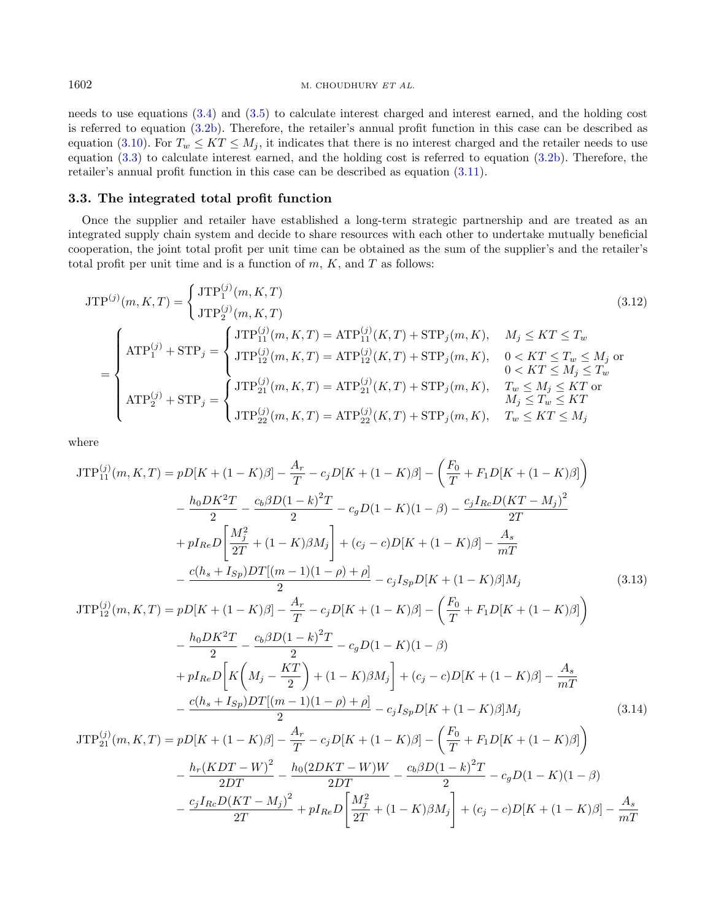needs to use equations [\(3.4\)](#page-7-1) and [\(3.5\)](#page-7-2) to calculate interest charged and interest earned, and the holding cost is referred to equation [\(3.2b\)](#page-6-0). Therefore, the retailer's annual profit function in this case can be described as equation [\(3.10\)](#page-8-4). For  $T_w \leq KT \leq M_i$ , it indicates that there is no interest charged and the retailer needs to use equation [\(3.3\)](#page-7-3) to calculate interest earned, and the holding cost is referred to equation [\(3.2b\)](#page-6-0). Therefore, the retailer's annual profit function in this case can be described as equation [\(3.11\)](#page-8-5).

#### 3.3. The integrated total profit function

Once the supplier and retailer have established a long-term strategic partnership and are treated as an integrated supply chain system and decide to share resources with each other to undertake mutually beneficial cooperation, the joint total profit per unit time can be obtained as the sum of the supplier's and the retailer's total profit per unit time and is a function of  $m, K$ , and  $T$  as follows:

<span id="page-9-0"></span>
$$
JTP^{(j)}(m, K, T) = \begin{cases} JTP_1^{(j)}(m, K, T) & (3.12) \\ JTP_2^{(j)}(m, K, T) & \end{cases}
$$
\n
$$
= \begin{cases} JTP_{1}^{(j)}(m, K, T) & (3.12) \\ ATP_1^{(j)} + STP_j = \begin{cases} JTP_{11}^{(j)}(m, K, T) = ATP_{11}^{(j)}(K, T) + STP_j(m, K), & M_j \leq KT \leq T_w \\ JTP_{12}^{(j)}(m, K, T) = ATP_{12}^{(j)}(K, T) + STP_j(m, K), & 0 < KT \leq T_w \leq M_j \text{ or } 0 < KT \leq M_j \leq T_w \\ ATP_2^{(j)} + STP_j = \begin{cases} JTP_{21}^{(j)}(m, K, T) = ATP_{21}^{(j)}(K, T) + STP_j(m, K), & T_w \leq M_j \leq KT \\ JTP_{22}^{(j)}(m, K, T) = ATP_{22}^{(j)}(K, T) + STP_j(m, K), & T_w \leq KT \leq M_j \end{cases}
$$
\n
$$
(3.12)
$$
\n
$$
(3.13)
$$

where

<span id="page-9-1"></span>
$$
JTP_{11}^{(j)}(m, K, T) = pD[K + (1 - K)\beta] - \frac{A_r}{T} - c_jD[K + (1 - K)\beta] - \left(\frac{F_0}{T} + F_1D[K + (1 - K)\beta]\right)
$$
  

$$
- \frac{h_0DK^2T}{2} - \frac{c_b\beta D(1 - k)^2T}{2} - c_gD(1 - K)(1 - \beta) - \frac{c_jI_{Rc}D(KT - M_j)^2}{2T}
$$
  

$$
+ pI_{Re}D\left[\frac{M_j^2}{2T} + (1 - K)\beta M_j\right] + (c_j - c)D[K + (1 - K)\beta] - \frac{A_s}{mT}
$$
  

$$
- \frac{c(h_s + I_{Sp})DT[(m - 1)(1 - \rho) + \rho]}{2} - c_jI_{Sp}D[K + (1 - K)\beta]M_j \qquad (3.13)
$$
  

$$
JTP_{12}^{(j)}(m, K, T) = pD[K + (1 - K)\beta] - \frac{A_r}{T} - c_jD[K + (1 - K)\beta] - \left(\frac{F_0}{T} + F_1D[K + (1 - K)\beta]\right)
$$
  

$$
- \frac{h_0DK^2T}{2} - \frac{c_b\beta D(1 - k)^2T}{2} - c_gD(1 - K)(1 - \beta)
$$
  

$$
+ pI_{Re}D\left[K\left(M_j - \frac{KT}{2}\right) + (1 - K)\beta M_j\right] + (c_j - c)D[K + (1 - K)\beta] - \frac{A_s}{mT}
$$
  

$$
- \frac{c(h_s + I_{Sp})DT[(m - 1)(1 - \rho) + \rho]}{2} - c_jI_{Sp}D[K + (1 - K)\beta]M_j \qquad (3.14)
$$
  

$$
JTP_{21}^{(j)}(m, K, T) = pD[K + (1 - K)\beta] - \frac{A_r}{T} - c_jD[K + (1 - K)\beta] - \left(\frac{F_0}{T} + F_1D[K + (1 - K)\beta]\right)
$$
  

$$
- \frac{h_r(KDT - W)^2}{2DT} - \frac{h_0(2DKT - W)W}{2DT} - \frac{c_b\beta D(1 - k)^2T}{2} - c_gD(1 - K)(1 - \beta)
$$
  

$$
- \frac{c_jI
$$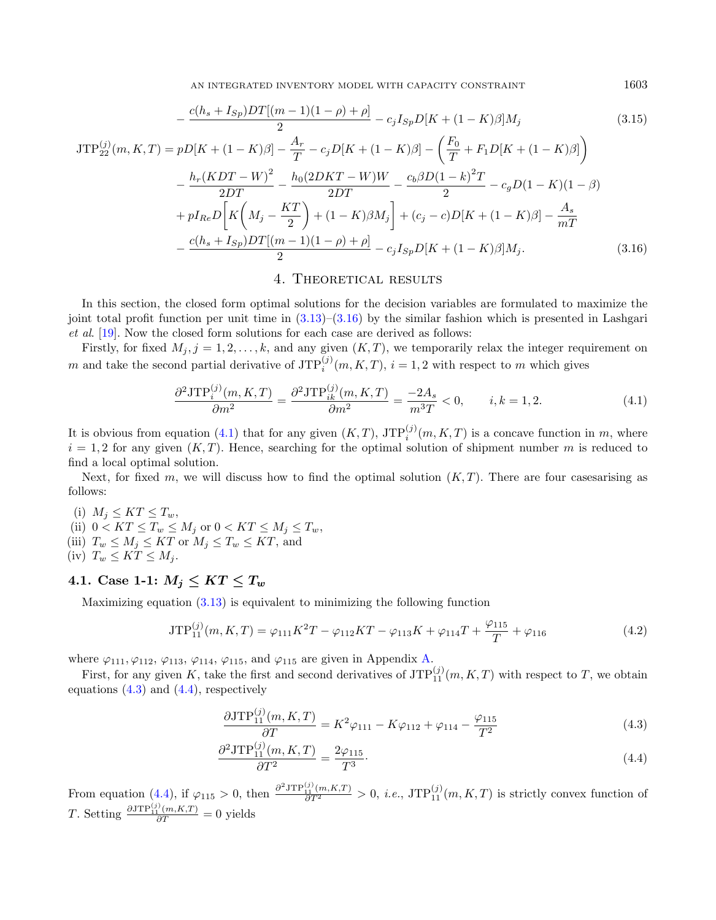AN INTEGRATED INVENTORY MODEL WITH CAPACITY CONSTRAINT 1603

$$
-\frac{c(h_s + I_{Sp})DT[(m-1)(1-\rho)+\rho]}{2} - c_j I_{Sp}D[K + (1-K)\beta]M_j
$$
\n(3.15)\n
$$
\frac{\binom{j}{2}}{22}(m, K, T) = pD[K + (1-K)\beta] - \frac{A_r}{T} - c_j D[K + (1-K)\beta] - \left(\frac{F_0}{T} + F_1 D[K + (1-K)\beta]\right)
$$

$$
-\frac{h_r(KDT-W)^2}{2DT} - \frac{h_0(2DKT-W)W}{2DT} - \frac{c_b\beta D(1-k)^2T}{2} - c_gD(1-K)(1-\beta) + pI_{Re}D\left[K\left(M_j - \frac{KT}{2}\right) + (1-K)\beta M_j\right] + (c_j - c)D[K + (1-K)\beta] - \frac{A_s}{mT} -\frac{c(h_s + I_{Sp})DT[(m-1)(1-\rho) + \rho]}{2} - c_jI_{Sp}D[K + (1-K)\beta]M_j.
$$
(3.16)

#### <span id="page-10-4"></span>4. Theoretical results

In this section, the closed form optimal solutions for the decision variables are formulated to maximize the joint total profit function per unit time in  $(3.13)$ – $(3.16)$  by the similar fashion which is presented in Lashgari et al. [\[19\]](#page-29-4). Now the closed form solutions for each case are derived as follows:

Firstly, for fixed  $M_j$ ,  $j = 1, 2, ..., k$ , and any given  $(K, T)$ , we temporarily relax the integer requirement on m and take the second partial derivative of  $JTP_i^{(j)}(m, K, T)$ ,  $i = 1, 2$  with respect to m which gives

$$
\frac{\partial^2 \text{JTP}_i^{(j)}(m, K, T)}{\partial m^2} = \frac{\partial^2 \text{JTP}_{ik}^{(j)}(m, K, T)}{\partial m^2} = \frac{-2A_s}{m^3 T} < 0, \qquad i, k = 1, 2. \tag{4.1}
$$

It is obvious from equation [\(4.1\)](#page-10-1) that for any given  $(K, T)$ ,  $JTP_i^{(j)}(m, K, T)$  is a concave function in m, where  $i = 1, 2$  for any given  $(K, T)$ . Hence, searching for the optimal solution of shipment number m is reduced to find a local optimal solution.

Next, for fixed  $m$ , we will discuss how to find the optimal solution  $(K, T)$ . There are four cases arising as follows:

(i)  $M_j \leq KT \leq T_w$ , (ii)  $0 < KT \leq T_w \leq M_j$  or  $0 < KT \leq M_j \leq T_w$ , (iii)  $T_w \leq M_j \leq KT$  or  $M_j \leq T_w \leq KT$ , and (iv)  $T_w \leq KT \leq M_i$ .

### 4.1. Case 1-1:  $M_j \leq KT \leq T_w$

 $\text{JTP}_{22}^{(j)}($ 

Maximizing equation  $(3.13)$  is equivalent to minimizing the following function

$$
JTP_{11}^{(j)}(m,K,T) = \varphi_{111}K^2T - \varphi_{112}KT - \varphi_{113}K + \varphi_{114}T + \frac{\varphi_{115}}{T} + \varphi_{116}
$$
\n(4.2)

where  $\varphi_{111}, \varphi_{112}, \varphi_{113}, \varphi_{114}, \varphi_{115}$ , and  $\varphi_{115}$  are given in Appendix [A.](#page-21-0)

First, for any given K, take the first and second derivatives of  $\text{JTP}_{11}^{(j)}(m,K,T)$  with respect to T, we obtain equations  $(4.3)$  and  $(4.4)$ , respectively

<span id="page-10-3"></span><span id="page-10-2"></span>
$$
\frac{\partial JTP_{11}^{(j)}(m,K,T)}{\partial T} = K^2 \varphi_{111} - K\varphi_{112} + \varphi_{114} - \frac{\varphi_{115}}{T^2}
$$
\n(4.3)

$$
\frac{\partial^2 \text{JTP}_{11}^{(j)}(m,K,T)}{\partial T^2} = \frac{2\varphi_{115}}{T^3}.
$$
\n(4.4)

From equation [\(4.4\)](#page-10-3), if  $\varphi_{115} > 0$ , then  $\frac{\partial^2 J \text{TP}_{11}^{(j)}(m,K,T)}{\partial T^2} > 0$ , *i.e.*,  $\text{JTP}_{11}^{(j)}(m,K,T)$  is strictly convex function of T. Setting  $\frac{\partial JTP_{11}^{(j)}(m,K,T)}{\partial T} = 0$  yields

<span id="page-10-5"></span><span id="page-10-1"></span><span id="page-10-0"></span>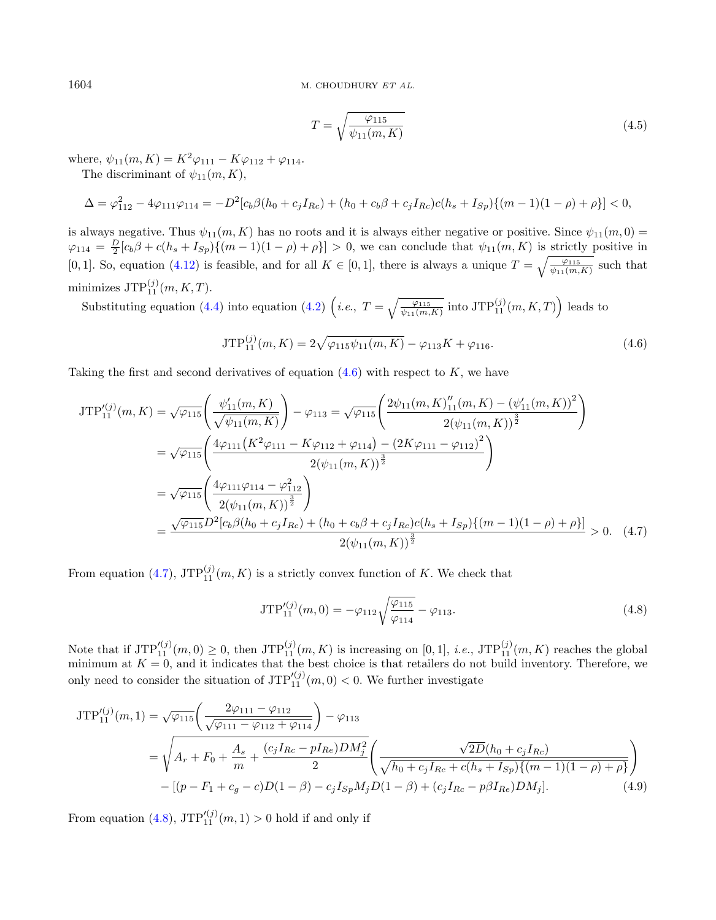<span id="page-11-1"></span><span id="page-11-0"></span>
$$
T = \sqrt{\frac{\varphi_{115}}{\psi_{11}(m,K)}}
$$
\n(4.5)

where,  $\psi_{11}(m, K) = K^2 \varphi_{111} - K \varphi_{112} + \varphi_{114}$ .

The discriminant of  $\psi_{11}(m, K)$ ,

$$
\Delta = \varphi_{112}^2 - 4\varphi_{111}\varphi_{114} = -D^2[c_b\beta(h_0 + c_jI_{Rc}) + (h_0 + c_b\beta + c_jI_{Rc})c(h_s + I_{Sp})\{(m-1)(1-\rho) + \rho\}] < 0,
$$

is always negative. Thus  $\psi_{11}(m, K)$  has no roots and it is always either negative or positive. Since  $\psi_{11}(m, 0)$  =  $\varphi_{114} = \frac{D}{2} [c_b \beta + c(h_s + I_{Sp}) \{ (m-1)(1-\rho) + \rho \}] > 0$ , we can conclude that  $\psi_{11}(m, K)$  is strictly positive in [0, 1]. So, equation [\(4.12\)](#page-12-0) is feasible, and for all  $K \in [0,1]$ , there is always a unique  $T = \sqrt{\frac{\varphi_{115}}{\psi_{11}(m,K)}}$  such that minimizes  $\operatorname{JTP}_{11}^{(j)}(m, K, T)$ .

Substituting equation [\(4.4\)](#page-10-3) into equation [\(4.2\)](#page-10-4)  $(i.e., T = \sqrt{\frac{\varphi_{115}}{\psi_{11}(m,K)}} \text{ into JTP}_{11}^{(j)}(m,K,T))$  leads to

<span id="page-11-2"></span>
$$
\text{JTP}_{11}^{(j)}(m,K) = 2\sqrt{\varphi_{115}\psi_{11}(m,K)} - \varphi_{113}K + \varphi_{116}.
$$
 (4.6)

Taking the first and second derivatives of equation  $(4.6)$  with respect to K, we have

$$
JTP_{11}^{\prime(j)}(m,K) = \sqrt{\varphi_{115}} \left( \frac{\psi_{11}^{\prime}(m,K)}{\sqrt{\psi_{11}(m,K)}} \right) - \varphi_{113} = \sqrt{\varphi_{115}} \left( \frac{2\psi_{11}(m,K)_{11}^{\prime\prime}(m,K) - (\psi_{11}^{\prime}(m,K))^2}{2(\psi_{11}(m,K))^{\frac{3}{2}}} \right)
$$
  
\n
$$
= \sqrt{\varphi_{115}} \left( \frac{4\varphi_{111}(K^2\varphi_{111} - K\varphi_{112} + \varphi_{114}) - (2K\varphi_{111} - \varphi_{112})^2}{2(\psi_{11}(m,K))^{\frac{3}{2}}} \right)
$$
  
\n
$$
= \sqrt{\varphi_{115}} \left( \frac{4\varphi_{111}\varphi_{114} - \varphi_{112}^2}{2(\psi_{11}(m,K))^{\frac{3}{2}}} \right)
$$
  
\n
$$
= \frac{\sqrt{\varphi_{115}} D^2 [c_b \beta(h_0 + c_j I_{Rc}) + (h_0 + c_b \beta + c_j I_{Rc}) c(h_s + I_{Sp}) \{ (m-1)(1 - \rho) + \rho \}]}{2(\psi_{11}(m,K))^{\frac{3}{2}}} > 0.
$$
 (4.7)

From equation [\(4.7\)](#page-11-1),  $\text{JTP}_{11}^{(j)}(m, K)$  is a strictly convex function of K. We check that

<span id="page-11-3"></span>
$$
JTP_{11}^{\prime(j)}(m,0) = -\varphi_{112}\sqrt{\frac{\varphi_{115}}{\varphi_{114}}} - \varphi_{113}.
$$
\n(4.8)

Note that if  $JTP_{11}^{(j)}(m,0) \geq 0$ , then  $JTP_{11}^{(j)}(m,K)$  is increasing on [0,1], *i.e.*,  $JTP_{11}^{(j)}(m,K)$  reaches the global minimum at  $K = 0$ , and it indicates that the best choice is that retailers do not build inventory. Therefore, we only need to consider the situation of  $JTP_{11}^{\prime(j)}(m,0) < 0$ . We further investigate

$$
JTP_{11}^{\prime(j)}(m,1) = \sqrt{\varphi_{115}} \left( \frac{2\varphi_{111} - \varphi_{112}}{\sqrt{\varphi_{111} - \varphi_{112} + \varphi_{114}}} \right) - \varphi_{113}
$$
  
=  $\sqrt{A_r + F_0 + \frac{A_s}{m} + \frac{(c_j I_{Rc} - pI_{Re})DM_j^2}{2}} \left( \frac{\sqrt{2D}(h_0 + c_j I_{Rc})}{\sqrt{h_0 + c_j I_{Rc} + c(h_s + I_{Sp})\{(m-1)(1-\rho) + \rho\}}} \right)$   
-  $[(p - F_1 + c_g - c)D(1 - \beta) - c_j I_{Sp}M_j D(1 - \beta) + (c_j I_{Rc} - p\beta I_{Re})DM_j].$  (4.9)

From equation [\(4.8\)](#page-11-2),  $JTP_{11}^{\prime(j)}(m,1) > 0$  hold if and only if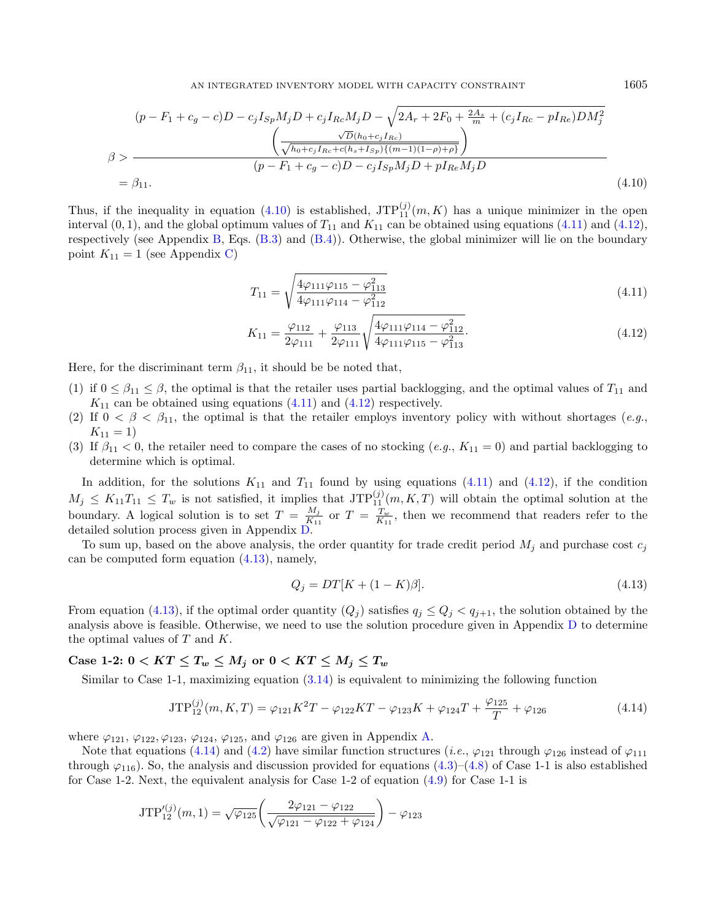<span id="page-12-1"></span>
$$
(p - F_1 + c_g - c)D - c_j I_{Sp} M_j D + c_j I_{Rc} M_j D - \sqrt{2A_r + 2F_0 + \frac{2A_s}{m} + (c_j I_{Rc} - pI_{Re})DM_j^2}
$$
  

$$
\beta > \frac{\sqrt{D(h_0 + c_j I_{Rc})}}{\sqrt{h_0 + c_j I_{Rc} + c(h_s + I_{Sp})\{(m-1)(1-\rho) + \rho\}}}
$$
  

$$
= \beta_{11}.
$$
  
(4.10)

Thus, if the inequality in equation [\(4.10\)](#page-12-1) is established,  $JTP_{11}^{(j)}(m,K)$  has a unique minimizer in the open interval  $(0, 1)$ , and the global optimum values of  $T_{11}$  and  $K_{11}$  can be obtained using equations [\(4.11\)](#page-12-2) and [\(4.12\)](#page-12-0), respectively (see Appendix [B,](#page-22-0) Eqs. [\(B.3\)](#page-22-1) and [\(B.4\)](#page-22-2)). Otherwise, the global minimizer will lie on the boundary point  $K_{11} = 1$  (see Appendix [C\)](#page-22-3)

$$
T_{11} = \sqrt{\frac{4\varphi_{111}\varphi_{115} - \varphi_{113}^2}{4\varphi_{111}\varphi_{114} - \varphi_{112}^2}}
$$
(4.11)

<span id="page-12-3"></span>
$$
K_{11} = \frac{\varphi_{112}}{2\varphi_{111}} + \frac{\varphi_{113}}{2\varphi_{111}} \sqrt{\frac{4\varphi_{111}\varphi_{114} - \varphi_{112}^2}{4\varphi_{111}\varphi_{115} - \varphi_{113}^2}}.
$$
\n(4.12)

Here, for the discriminant term  $\beta_{11}$ , it should be be noted that,

- (1) if  $0 \leq \beta_{11} \leq \beta$ , the optimal is that the retailer uses partial backlogging, and the optimal values of  $T_{11}$  and  $K_{11}$  can be obtained using equations [\(4.11\)](#page-12-2) and [\(4.12\)](#page-12-0) respectively.
- (2) If  $0 < \beta < \beta_{11}$ , the optimal is that the retailer employs inventory policy with without shortages (e.g.,  $K_{11} = 1$
- (3) If  $\beta_{11} < 0$ , the retailer need to compare the cases of no stocking  $(e.g., K_{11} = 0)$  and partial backlogging to determine which is optimal.

In addition, for the solutions  $K_{11}$  and  $T_{11}$  found by using equations [\(4.11\)](#page-12-2) and [\(4.12\)](#page-12-0), if the condition  $M_j \leq K_{11}T_{11} \leq T_w$  is not satisfied, it implies that  $\text{JTP}_{11}^{(j)}(m,K,T)$  will obtain the optimal solution at the boundary. A logical solution is to set  $T = \frac{M_j}{K_{1.2}}$  $\frac{M_j}{K_{11}}$  or  $T = \frac{T_w}{K_{11}}$ , then we recommend that readers refer to the detailed solution process given in Appendix [D.](#page-23-0)

To sum up, based on the above analysis, the order quantity for trade credit period  $M_i$  and purchase cost  $c_i$ can be computed form equation [\(4.13\)](#page-12-3), namely,

<span id="page-12-4"></span>
$$
Q_j = DT[K + (1 - K)\beta].
$$
\n(4.13)

From equation [\(4.13\)](#page-12-3), if the optimal order quantity  $(Q_j)$  satisfies  $q_j \leq Q_j \leq q_{j+1}$ , the solution obtained by the analysis above is feasible. Otherwise, we need to use the solution procedure given in Appendix [D](#page-23-0) to determine the optimal values of  $T$  and  $K$ .

### Case 1-2:  $0 < KT \leq T_w \leq M_j$  or  $0 < KT \leq M_j \leq T_w$

Similar to Case 1-1, maximizing equation [\(3.14\)](#page-9-1) is equivalent to minimizing the following function

$$
JTP_{12}^{(j)}(m,K,T) = \varphi_{121}K^2T - \varphi_{122}KT - \varphi_{123}K + \varphi_{124}T + \frac{\varphi_{125}}{T} + \varphi_{126}
$$
\n(4.14)

where  $\varphi_{121}, \varphi_{122}, \varphi_{123}, \varphi_{124}, \varphi_{125}$ , and  $\varphi_{126}$  are given in Appendix [A.](#page-21-0)

Note that equations [\(4.14\)](#page-12-4) and [\(4.2\)](#page-10-4) have similar function structures (*i.e.*,  $\varphi_{121}$  through  $\varphi_{126}$  instead of  $\varphi_{111}$ through  $\varphi_{116}$ ). So, the analysis and discussion provided for equations [\(4.3\)](#page-10-2)–[\(4.8\)](#page-11-2) of Case 1-1 is also established for Case 1-2. Next, the equivalent analysis for Case 1-2 of equation [\(4.9\)](#page-11-3) for Case 1-1 is

$$
\text{JTP}_{12}^{\prime(j)}(m,1) = \sqrt{\varphi_{125}} \left( \frac{2\varphi_{121} - \varphi_{122}}{\sqrt{\varphi_{121} - \varphi_{122} + \varphi_{124}}} \right) - \varphi_{123}
$$

<span id="page-12-2"></span><span id="page-12-0"></span>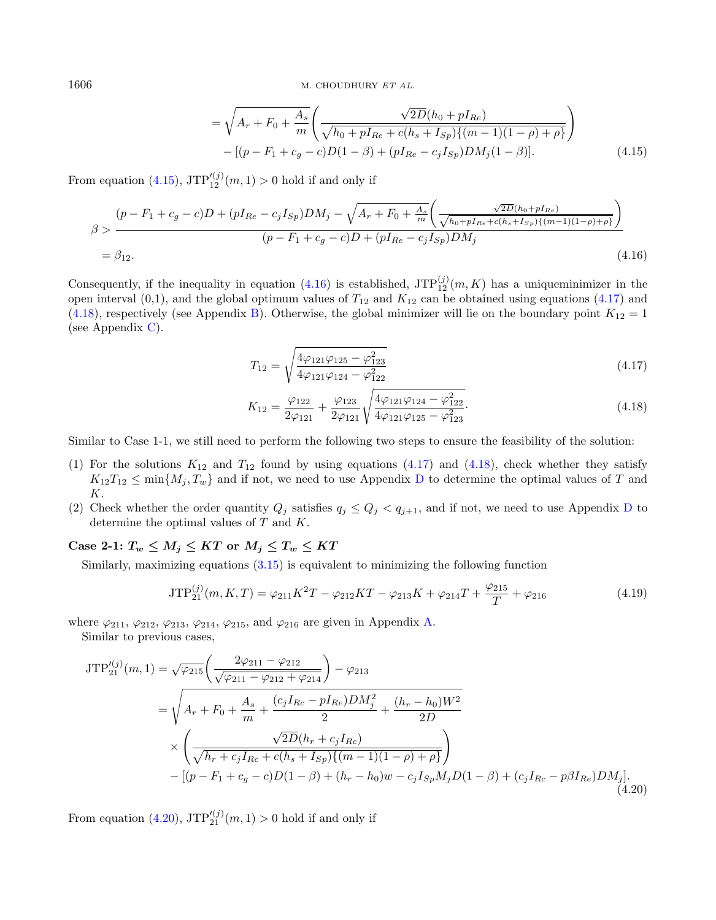<span id="page-13-1"></span><span id="page-13-0"></span>
$$
= \sqrt{A_r + F_0 + \frac{A_s}{m}} \left( \frac{\sqrt{2D}(h_0 + pI_{Re})}{\sqrt{h_0 + pI_{Re} + c(h_s + I_{Sp})\{(m-1)(1-\rho) + \rho\}}} \right) - [(p - F_1 + c_g - c)D(1 - \beta) + (pI_{Re} - c_jI_{Sp})DM_j(1 - \beta)].
$$
\n(4.15)

From equation [\(4.15\)](#page-13-0),  $JTP_{12}^{\prime(j)}(m,1) > 0$  hold if and only if

$$
\beta > \frac{(p - F_1 + c_g - c)D + (pI_{Re} - c_jI_{Sp})DM_j - \sqrt{A_r + F_0 + \frac{A_s}{m}} \left(\frac{\sqrt{2D}(h_0 + pI_{Re})}{\sqrt{h_0 + pI_{Re} + c(h_s + I_{Sp})\{(m-1)(1-\rho) + \rho\}}}\right)}{(p - F_1 + c_g - c)D + (pI_{Re} - c_jI_{Sp})DM_j}
$$
\n
$$
= \beta_{12}.
$$
\n(4.16)

Consequently, if the inequality in equation [\(4.16\)](#page-13-1) is established,  $JTP_{12}^{(j)}(m,K)$  has a uniqueminimizer in the open interval (0,1), and the global optimum values of  $T_{12}$  and  $K_{12}$  can be obtained using equations [\(4.17\)](#page-13-2) and [\(4.18\)](#page-13-3), respectively (see Appendix [B\)](#page-22-0). Otherwise, the global minimizer will lie on the boundary point  $K_{12} = 1$ (see Appendix [C\)](#page-22-3).

<span id="page-13-3"></span><span id="page-13-2"></span>
$$
T_{12} = \sqrt{\frac{4\varphi_{121}\varphi_{125} - \varphi_{123}^2}{4\varphi_{121}\varphi_{124} - \varphi_{122}^2}}
$$
(4.17)

<span id="page-13-5"></span><span id="page-13-4"></span>
$$
K_{12} = \frac{\varphi_{122}}{2\varphi_{121}} + \frac{\varphi_{123}}{2\varphi_{121}} \sqrt{\frac{4\varphi_{121}\varphi_{124} - \varphi_{122}^2}{4\varphi_{121}\varphi_{125} - \varphi_{123}^2}}.
$$
\n(4.18)

Similar to Case 1-1, we still need to perform the following two steps to ensure the feasibility of the solution:

- (1) For the solutions  $K_{12}$  and  $T_{12}$  found by using equations [\(4.17\)](#page-13-2) and [\(4.18\)](#page-13-3), check whether they satisfy  $K_{12}T_{12} \le \min\{M_j, T_w\}$  and if not, we need to use Appendix [D](#page-23-0) to determine the optimal values of T and  $K$ .
- (2) Check whether the order quantity  $Q_j$  satisfies  $q_j \leq Q_j < q_{j+1}$ , and if not, we need to use Appendix [D](#page-23-0) to determine the optimal values of  $T$  and  $K$ .

Case 2-1:  $T_w \leq M_i \leq KT$  or  $M_i \leq T_w \leq KT$ 

Similarly, maximizing equations  $(3.15)$  is equivalent to minimizing the following function

$$
JTP_{21}^{(j)}(m,K,T) = \varphi_{211}K^2T - \varphi_{212}KT - \varphi_{213}K + \varphi_{214}T + \frac{\varphi_{215}}{T} + \varphi_{216}
$$
(4.19)

where  $\varphi_{211}, \varphi_{212}, \varphi_{213}, \varphi_{214}, \varphi_{215}$ , and  $\varphi_{216}$  are given in Appendix [A.](#page-21-0)

Similar to previous cases,

$$
JTP_{21}^{\prime(j)}(m,1) = \sqrt{\varphi_{215}} \left( \frac{2\varphi_{211} - \varphi_{212}}{\sqrt{\varphi_{211} - \varphi_{212} + \varphi_{214}}} \right) - \varphi_{213}
$$
  
\n
$$
= \sqrt{A_r + F_0 + \frac{A_s}{m} + \frac{(c_j I_{Rc} - pI_{Re})DM_j^2}{2} + \frac{(h_r - h_0)W^2}{2D}}
$$
  
\n
$$
\times \left( \frac{\sqrt{2D}(h_r + c_j I_{Rc})}{\sqrt{h_r + c_j I_{Rc} + c(h_s + I_{Sp})\{(m-1)(1-\rho) + \rho\}}} \right)
$$
  
\n
$$
- [(p - F_1 + c_g - c)D(1 - \beta) + (h_r - h_0)w - c_j I_{Sp}M_j D(1 - \beta) + (c_j I_{Rc} - p\beta I_{Re})DM_j].
$$
\n(4.20)

From equation [\(4.20\)](#page-13-4),  $JTP_{21}^{\prime(j)}(m,1) > 0$  hold if and only if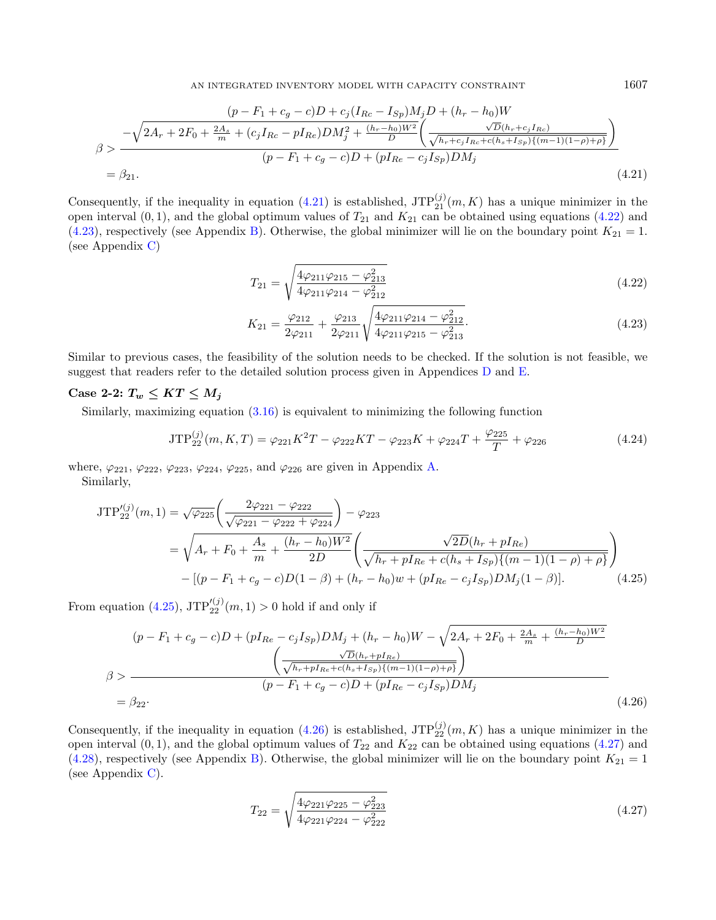$$
\frac{(p - F_1 + c_g - c)D + c_j(I_{Rc} - I_{Sp})M_jD + (h_r - h_0)W}{\sigma} \frac{-\sqrt{2A_r + 2F_0 + \frac{2A_s}{m} + (c_jI_{Rc} - pI_{Re})DM_j^2 + \frac{(h_r - h_0)W^2}{D}\left(\frac{\sqrt{D}(h_r + c_jI_{Rc})}{\sqrt{h_r + c_jI_{Rc} + c(h_s + I_{Sp})\{(m-1)(1-\rho) + \rho\}}}\right)}}{(p - F_1 + c_g - c)D + (pI_{Re} - c_jI_{Sp})DM_j}
$$
\n
$$
= \beta_{21}.
$$
\n(4.21)

Consequently, if the inequality in equation [\(4.21\)](#page-14-0) is established,  $JTP_{21}^{(j)}(m,K)$  has a unique minimizer in the open interval  $(0, 1)$ , and the global optimum values of  $T_{21}$  and  $K_{21}$  can be obtained using equations [\(4.22\)](#page-14-1) and [\(4.23\)](#page-14-2), respectively (see Appendix [B\)](#page-22-0). Otherwise, the global minimizer will lie on the boundary point  $K_{21} = 1$ . (see Appendix [C\)](#page-22-3)

$$
T_{21} = \sqrt{\frac{4\varphi_{211}\varphi_{215} - \varphi_{213}^2}{4\varphi_{211}\varphi_{214} - \varphi_{212}^2}}
$$
(4.22)

<span id="page-14-4"></span>
$$
K_{21} = \frac{\varphi_{212}}{2\varphi_{211}} + \frac{\varphi_{213}}{2\varphi_{211}} \sqrt{\frac{4\varphi_{211}\varphi_{214} - \varphi_{212}^2}{4\varphi_{211}\varphi_{215} - \varphi_{213}^2}}.
$$
\n(4.23)

Similar to previous cases, the feasibility of the solution needs to be checked. If the solution is not feasible, we suggest that readers refer to the detailed solution process given in Appendices [D](#page-23-0) and [E.](#page-23-1)

### Case 2-2:  $T_w \leq KT \leq M_j$

Similarly, maximizing equation [\(3.16\)](#page-10-0) is equivalent to minimizing the following function

$$
JTP_{22}^{(j)}(m,K,T) = \varphi_{221}K^2T - \varphi_{222}KT - \varphi_{223}K + \varphi_{224}T + \frac{\varphi_{225}}{T} + \varphi_{226}
$$
\n(4.24)

where,  $\varphi_{221}, \varphi_{222}, \varphi_{223}, \varphi_{224}, \varphi_{225}$ , and  $\varphi_{226}$  are given in Appendix [A.](#page-21-0) Similarly,

$$
JTP_{22}^{\prime(j)}(m,1) = \sqrt{\varphi_{225}} \left( \frac{2\varphi_{221} - \varphi_{222}}{\sqrt{\varphi_{221} - \varphi_{222} + \varphi_{224}}} \right) - \varphi_{223}
$$
  
=  $\sqrt{A_r + F_0 + \frac{A_s}{m} + \frac{(h_r - h_0)W^2}{2D}} \left( \frac{\sqrt{2D}(h_r + pI_{Re})}{\sqrt{h_r + pI_{Re} + c(h_s + I_{Sp})\{(m-1)(1-\rho) + \rho\}}} \right)$   
-  $[(p - F_1 + c_g - c)D(1 - \beta) + (h_r - h_0)w + (pI_{Re} - c_jI_{Sp})DM_j(1 - \beta)].$  (4.25)

From equation [\(4.25\)](#page-14-3),  $JTP'_{22}^{(j)}(m,1) > 0$  hold if and only if

$$
(p - F_1 + c_g - c)D + (pI_{Re} - c_jI_{Sp})DM_j + (h_r - h_0)W - \sqrt{2A_r + 2F_0 + \frac{2A_s}{m} + \frac{(h_r - h_0)W^2}{D}}
$$
  

$$
\beta >
$$
  

$$
\beta >
$$
  

$$
\frac{\sqrt{D}(h_r + pI_{Re})}{(\gamma h_r + pI_{Re} + c(h_s + I_{Sp})\{(m-1)(1-\rho) + \rho\})}
$$
  

$$
= \beta_{22}.
$$
  
(4.26)

Consequently, if the inequality in equation [\(4.26\)](#page-14-4) is established,  $JTP_{22}^{(j)}(m,K)$  has a unique minimizer in the open interval  $(0, 1)$ , and the global optimum values of  $T_{22}$  and  $K_{22}$  can be obtained using equations [\(4.27\)](#page-14-5) and [\(4.28\)](#page-15-0), respectively (see Appendix [B\)](#page-22-0). Otherwise, the global minimizer will lie on the boundary point  $K_{21} = 1$ (see Appendix [C\)](#page-22-3).

<span id="page-14-5"></span>
$$
T_{22} = \sqrt{\frac{4\varphi_{221}\varphi_{225} - \varphi_{223}^2}{4\varphi_{221}\varphi_{224} - \varphi_{222}^2}}
$$
(4.27)

<span id="page-14-3"></span><span id="page-14-2"></span><span id="page-14-1"></span><span id="page-14-0"></span>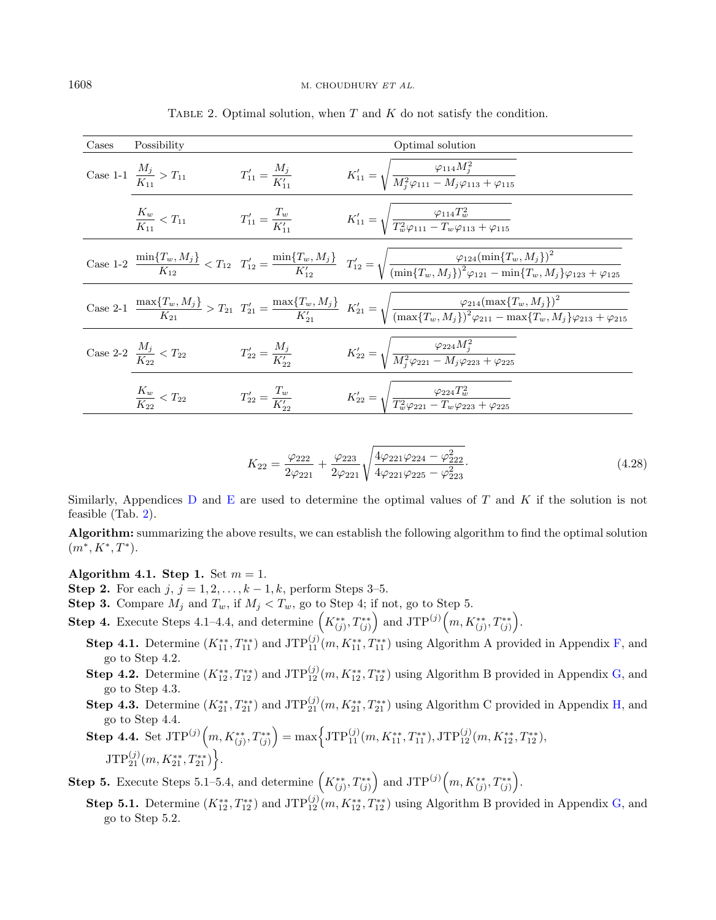| Cases | Possibility                            |                                 | Optimal solution                                                                                                                                                                                                                                    |
|-------|----------------------------------------|---------------------------------|-----------------------------------------------------------------------------------------------------------------------------------------------------------------------------------------------------------------------------------------------------|
|       | Case 1-1 $\frac{M_j}{K_{11}} > T_{11}$ | $T'_{11} = \frac{M_j}{K'_{11}}$ | $K'_{11} = \sqrt{\frac{\varphi_{114} M_j^2}{M_i^2 \varphi_{111} - M_i \varphi_{113} + \varphi_{115}}}$                                                                                                                                              |
|       | $\frac{K_w}{K_{11}} < T_{11}$          | $T'_{11} = \frac{I_w}{K'_{11}}$ | $K'_{11} = \sqrt{\frac{\varphi_{114}T_w^2}{T_w^2\varphi_{111} - T_w\varphi_{113} + \varphi_{115}}}$                                                                                                                                                 |
|       |                                        |                                 | Case 1-2 $\frac{\min\{T_w, M_j\}}{K_{12}} < T_{12}$ $T'_{12} = \frac{\min\{T_w, M_j\}}{K'_{12}}$ $T'_{12} = \sqrt{\frac{\varphi_{124}(\min\{T_w, M_j\})^2}{(\min\{T_w, M_j\})^2 \varphi_{121} - \min\{T_w, M_j\} \varphi_{123} + \varphi_{125}}$    |
|       |                                        |                                 | $\text{Case 2-1 } \frac{\max\{T_w,M_j\}}{K_{21}} > T_{21} \ T_{21}' = \frac{\max\{T_w,M_j\}}{K_{21}'} \ K_{21}' = \sqrt{\frac{\varphi_{214}(\max\{T_w,M_j\})^2}{(\max\{T_w,M_j\})^2\varphi_{211} - \max\{T_w,M_j\}\varphi_{213} + \varphi_{215}} }$ |
|       | Case 2-2 $\frac{M_j}{K_{22}} < T_{22}$ | $T'_{22} = \frac{M_j}{K'_{12}}$ | $K'_{22} = \sqrt{\frac{\varphi_{224} M_j^2}{M_j^2 \varphi_{221} - M_j \varphi_{223} + \varphi_{225}}}$                                                                                                                                              |
|       | $\frac{K_w}{K_{22}} < T_{22}$          | $T'_{22} = \frac{1}{K'_{12}}$   | $K'_{22} = \sqrt{\frac{\varphi_{224} T_w^2}{T_w^2 \varphi_{221} - T_w \varphi_{223} + \varphi_{225}}}$                                                                                                                                              |

<span id="page-15-1"></span>TABLE 2. Optimal solution, when  $T$  and  $K$  do not satisfy the condition.

<span id="page-15-0"></span>
$$
K_{22} = \frac{\varphi_{222}}{2\varphi_{221}} + \frac{\varphi_{223}}{2\varphi_{221}} \sqrt{\frac{4\varphi_{221}\varphi_{224} - \varphi_{222}^2}{4\varphi_{221}\varphi_{225} - \varphi_{223}^2}}.
$$
\n(4.28)

Similarly, Appendices [D](#page-23-0) and [E](#page-23-1) are used to determine the optimal values of T and K if the solution is not feasible (Tab. [2\)](#page-15-1).

Algorithm: summarizing the above results, we can establish the following algorithm to find the optimal solution  $(m^*, K^*, T^*).$ 

<span id="page-15-2"></span>Algorithm 4.1. Step 1. Set  $m = 1$ .

- Step 2. For each  $j, j = 1, 2, \ldots, k 1, k$ , perform Steps 3–5.
- **Step 3.** Compare  $M_j$  and  $T_w$ , if  $M_j < T_w$ , go to Step 4; if not, go to Step 5.
- **Step 4.** Execute Steps 4.1–4.4, and determine  $\left(K_{(j)}^{**}, T_{(j)}^{**}\right)$  and  $JTP^{(j)}\left(m, K_{(j)}^{**}, T_{(j)}^{**}\right)$ .
	- **Step 4.1.** Determine  $(K_{11}^{**}, T_{11}^{**})$  and  $JTP_{11}^{(j)}(m, K_{11}^{**}, T_{11}^{**})$  using Algorithm A provided in Appendix [F,](#page-25-0) and go to Step 4.2.
	- **Step 4.2.** Determine  $(K_{12}^{**}, T_{12}^{**})$  and  $JTP_{12}^{(j)}(m, K_{12}^{**}, T_{12}^{**})$  using Algorithm B provided in Appendix [G,](#page-26-0) and go to Step 4.3.
	- **Step 4.3.** Determine  $(K_{21}^{**}, T_{21}^{**})$  and  $JTP_{21}^{(j)}(m, K_{21}^{**}, T_{21}^{**})$  using Algorithm C provided in Appendix [H,](#page-27-0) and go to Step 4.4.
	- $\textbf{Step 4.4. Set }\text{JTP}^{(j)}\left(m,K_{(j)}^{**},T_{(j)}^{**}\right) = \max\left\{\text{JTP}_{11}^{(j)}(m,K_{11}^{**},T_{11}^{**}),\text{JTP}_{12}^{(j)}(m,K_{12}^{**},T_{12}^{**}),\right.$  $\mathrm{JTP}_{21}^{(j)}(m,K_{21}^{**},T_{21}^{**})\Big\}.$

**Step 5.** Execute Steps 5.1–5.4, and determine  $(K_{(j)}^{**}, T_{(j)}^{**})$  and  $JTP^{(j)}(m, K_{(j)}^{**}, T_{(j)}^{**})$ .

**Step 5.1.** Determine  $(K_{12}^{**}, T_{12}^{**})$  and  $JTP_{12}^{(j)}(m, K_{12}^{**}, T_{12}^{**})$  using Algorithm B provided in Appendix [G,](#page-26-0) and go to Step 5.2.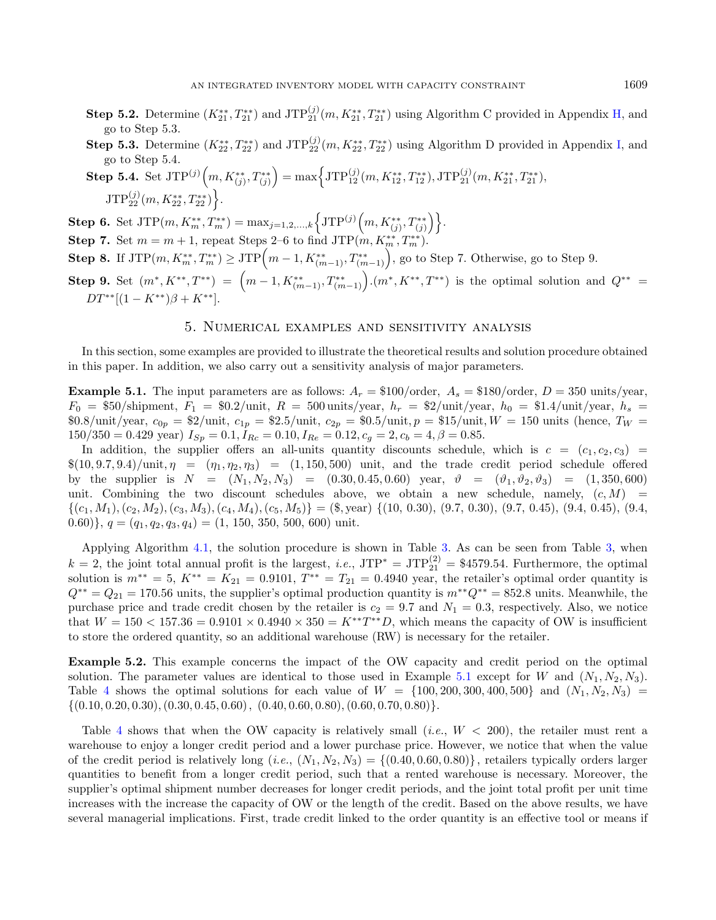- **Step 5.2.** Determine  $(K_{21}^{**}, T_{21}^{**})$  and  $JTP_{21}^{(j)}(m, K_{21}^{**}, T_{21}^{**})$  using Algorithm C provided in Appendix [H,](#page-27-0) and go to Step 5.3.
- **Step 5.3.** Determine  $(K_{22}^{**}, T_{22}^{**})$  and  $JTP_{22}^{(j)}(m, K_{22}^{**}, T_{22}^{**})$  using Algorithm D provided in Appendix [I,](#page-27-1) and go to Step 5.4.
- $\textbf{Step 5.4. Set JTP}^{(j)}\Big(m, K^{**}_{(j)}, T^{**}_{(j)}\Big) = \max\Bigl\{\textbf{JTP}^{(j)}_{12}(m, K^{**}_{12}, T^{**}_{12}), \textbf{JTP}^{(j)}_{21}(m, K^{**}_{21}, T^{**}_{21}), \nonumber\$  $\mathrm{JTP}_{22}^{(j)}(m,K^{**}_{22},T^{**}_{22})\Big\}.$

 $\textbf{Step 6. Set }JTP(m,K_{m}^{**},T_{m}^{**}) = \max_{j=1,2,...,k} \Big\{ JTP^{(j)}\Big(m,K_{(j)}^{**},T_{(j)}^{**}\Big) \Big\}.$ 

- **Step 7.** Set  $m = m + 1$ , repeat Steps 2–6 to find JTP $(m, K_m^{**}, T_m^{**})$ .
- $\textbf{Step 8. If JTP}(m, K^{**}_{m}, T^{**}_{m}) \geq \text{JTP}\Big(m-1, K^{**}_{(m-1)}, T^{**}_{(m-1)}\Big),$  go to Step 7. Otherwise, go to Step 9.

Step 9. Set  $(m^*, K^{**}, T^{**}) = (m-1, K^{**}_{(m-1)}, T^{**}_{(m-1)})$ .  $(m^*, K^{**}, T^{**})$  is the optimal solution and  $Q^{**} =$  $DT^{**}[(1 - K^{**})\beta + K^{**}].$ 

#### 5. Numerical examples and sensitivity analysis

In this section, some examples are provided to illustrate the theoretical results and solution procedure obtained in this paper. In addition, we also carry out a sensitivity analysis of major parameters.

<span id="page-16-0"></span>**Example 5.1.** The input parameters are as follows:  $A_r = \$100/\text{order}$ ,  $A_s = \$180/\text{order}$ ,  $D = 350 \text{ units/year}$ ,  $F_0 = $50/\text{shipment}, F_1 = $0.2/\text{unit}, R = 500 \text{units}/\text{year}, h_r = $2/\text{unit}/\text{year}, h_0 = $1.4/\text{unit}/\text{year}, h_s =$ \$0.8/unit/year,  $c_{0p} = 2/$ unit,  $c_{1p} = 2.5/$ unit,  $c_{2p} = 0.5/$ unit,  $p = 15/$ unit,  $W = 150$ units (hence,  $T_W = 2.5/$ unit  $150/350 = 0.429$  year)  $I_{Sp} = 0.1, I_{Rc} = 0.10, I_{Re} = 0.12, c_g = 2, c_b = 4, \beta = 0.85.$ 

In addition, the supplier offers an all-units quantity discounts schedule, which is  $c = (c_1, c_2, c_3)$  $\{(10, 9.7, 9.4)/$ unit,  $\eta = (\eta_1, \eta_2, \eta_3) = (1, 150, 500)$  unit, and the trade credit period schedule offered by the supplier is  $N = (N_1, N_2, N_3) = (0.30, 0.45, 0.60)$  year,  $\vartheta = (\vartheta_1, \vartheta_2, \vartheta_3) = (1, 350, 600)$ unit. Combining the two discount schedules above, we obtain a new schedule, namely,  $(c, M)$  =  $\{(c_1, M_1), (c_2, M_2), (c_3, M_3), (c_4, M_4), (c_5, M_5)\} = (\text{\$}, \text{year}) \{(10, 0.30), (9.7, 0.30), (9.7, 0.45), (9.4, 0.45), (9.4, 0.45)\}$ 0.60)},  $q = (q_1, q_2, q_3, q_4) = (1, 150, 350, 500, 600)$  unit.

Applying Algorithm [4.1,](#page-15-2) the solution procedure is shown in Table [3.](#page-17-0) As can be seen from Table [3,](#page-17-0) when  $k = 2$ , the joint total annual profit is the largest, *i.e.*, JTP<sup>\*</sup> = JTP<sup>(2)</sup><sub>21</sub> = \$4579.54. Furthermore, the optimal solution is  $m^{**} = 5$ ,  $K^{**} = K_{21} = 0.9101$ ,  $T^{**} = T_{21} = 0.4940$  year, the retailer's optimal order quantity is  $Q^{**} = Q_{21} = 170.56$  units, the supplier's optimal production quantity is  $m^{**}Q^{**} = 852.8$  units. Meanwhile, the purchase price and trade credit chosen by the retailer is  $c_2 = 9.7$  and  $N_1 = 0.3$ , respectively. Also, we notice that  $W = 150 < 157.36 = 0.9101 \times 0.4940 \times 350 = K^{**}T^{**}D$ , which means the capacity of OW is insufficient to store the ordered quantity, so an additional warehouse (RW) is necessary for the retailer.

Example 5.2. This example concerns the impact of the OW capacity and credit period on the optimal solution. The parameter values are identical to those used in Example [5.1](#page-16-0) except for W and  $(N_1, N_2, N_3)$ . Table [4](#page-17-1) shows the optimal solutions for each value of  $W = \{100, 200, 300, 400, 500\}$  and  $(N_1, N_2, N_3)$  $\{(0.10, 0.20, 0.30), (0.30, 0.45, 0.60), (0.40, 0.60, 0.80), (0.60, 0.70, 0.80)\}.$ 

Table [4](#page-17-1) shows that when the OW capacity is relatively small (*i.e.*,  $W < 200$ ), the retailer must rent a warehouse to enjoy a longer credit period and a lower purchase price. However, we notice that when the value of the credit period is relatively long (i.e.,  $(N_1, N_2, N_3) = \{(0.40, 0.60, 0.80)\}\,$ , retailers typically orders larger quantities to benefit from a longer credit period, such that a rented warehouse is necessary. Moreover, the supplier's optimal shipment number decreases for longer credit periods, and the joint total profit per unit time increases with the increase the capacity of OW or the length of the credit. Based on the above results, we have several managerial implications. First, trade credit linked to the order quantity is an effective tool or means if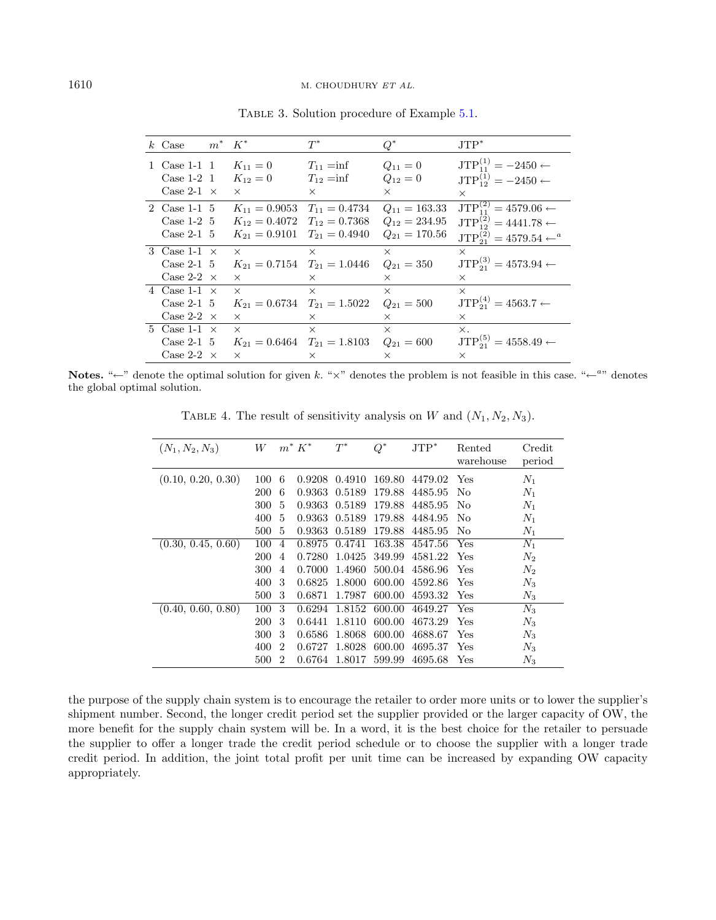| $k$ Case            | $m^*$ $K^*$ |                                     | $T^*$          | $Q^*$             | $JTP^*$                                 |
|---------------------|-------------|-------------------------------------|----------------|-------------------|-----------------------------------------|
| 1 Case 1-1 1        |             | $K_{11} = 0$                        | $T_{11} = inf$ | $Q_{11} = 0$      | $JTP_{11}^{(1)} = -2450 \leftarrow$     |
| Case $1-2$ 1        |             | $K_{12}=0$                          | $T_{12} = inf$ | $Q_{12}=0$        | $JTP_{12}^{(1)} = -2450 \leftarrow$     |
| Case 2-1 $\times$   |             | $\times$                            | $\times$       | $\times$          | $\times$                                |
| 2 Case 1-1 5        |             | $K_{11} = 0.9053$ $T_{11} = 0.4734$ |                | $Q_{11} = 163.33$ | $JTP_{11}^{(2)} = 4579.06 \leftarrow$   |
| Case $1-2$ 5        |             | $K_{12} = 0.4072$ $T_{12} = 0.7368$ |                | $Q_{12} = 234.95$ | $JTP_{12}^{(2)} = 4441.78 \leftarrow$   |
| Case 2-1 $5$        |             | $K_{21} = 0.9101$ $T_{21} = 0.4940$ |                | $Q_{21} = 170.56$ | $JTP_{21}^{(2)} = 4579.54 \leftarrow a$ |
| 3 Case 1-1 $\times$ |             | $\times$                            | $\times$       | $\times$          | $\times$                                |
| Case 2-1 $5$        |             | $K_{21} = 0.7154$ $T_{21} = 1.0446$ |                | $Q_{21} = 350$    | $JTP_{21}^{(3)} = 4573.94 \leftarrow$   |
| Case 2-2 $\times$   |             | $\times$                            | $\times$       | $\times$          | $\times$                                |
| 4 Case 1-1 $\times$ |             | $\times$                            | $\times$       | $\times$          | $\times$                                |
| Case 2-1 $5$        |             | $K_{21} = 0.6734$ $T_{21} = 1.5022$ |                | $Q_{21} = 500$    | $JTP_{21}^{(4)} = 4563.7 \leftarrow$    |
| Case 2-2 $\times$   |             | $\times$                            | $\times$       | $\times$          | $\times$                                |
| 5 Case 1-1 $\times$ |             | $\times$                            | $\times$       | $\times$          | $\times$ .                              |
| Case 2-1 $5$        |             | $K_{21} = 0.6464$ $T_{21} = 1.8103$ |                | $Q_{21} = 600$    | $JTP_{21}^{(5)} = 4558.49 \leftarrow$   |
| Case 2-2 $\times$   |             | $\times$                            | $\times$       | $\times$          | $\times$                                |

<span id="page-17-1"></span><span id="page-17-0"></span>Table 3. Solution procedure of Example [5.1.](#page-16-0)

Notes. " $\leftarrow$ " denote the optimal solution for given k. " $\times$ " denotes the problem is not feasible in this case. " $\leftarrow$ " denotes the global optimal solution.

TABLE 4. The result of sensitivity analysis on  $W$  and  $(N_1, N_2, N_3)$ .

| $(N_1, N_2, N_3)$  | W   |                | $m^* K^*$ | $T^*$  | $Q^*$  | $JTP^*$ | Rented<br>warehouse | Credit<br>period |
|--------------------|-----|----------------|-----------|--------|--------|---------|---------------------|------------------|
| (0.10, 0.20, 0.30) | 100 | 6              | 0.9208    | 0.4910 | 169.80 | 4479.02 | Yes                 | $N_1$            |
|                    | 200 | 6              | 0.9363    | 0.5189 | 179.88 | 4485.95 | No                  | $N_1$            |
|                    | 300 | 5              | 0.9363    | 0.5189 | 179.88 | 4485.95 | No                  | $N_1$            |
|                    | 400 | 5              | 0.9363    | 0.5189 | 179.88 | 4484.95 | No                  | $N_1$            |
|                    | 500 | 5              | 0.9363    | 0.5189 | 179.88 | 4485.95 | No                  | $N_1$            |
| (0.30, 0.45, 0.60) | 100 | $\overline{4}$ | 0.8975    | 0.4741 | 163.38 | 4547.56 | Yes                 | $N_1$            |
|                    | 200 | 4              | 0.7280    | 1.0425 | 349.99 | 4581.22 | Yes                 | $N_2$            |
|                    | 300 | $\overline{4}$ | 0.7000    | 1.4960 | 500.04 | 4586.96 | Yes                 | $N_2$            |
|                    | 400 | 3              | 0.6825    | 1.8000 | 600.00 | 4592.86 | Yes                 | $N_3$            |
|                    | 500 | 3              | 0.6871    | 1.7987 | 600.00 | 4593.32 | Yes.                | $N_3$            |
| (0.40, 0.60, 0.80) | 100 | 3              | 0.6294    | 1.8152 | 600.00 | 4649.27 | Yes                 | $N_3$            |
|                    | 200 | 3              | 0.6441    | 1.8110 | 600.00 | 4673.29 | Yes                 | $N_3$            |
|                    | 300 | 3              | 0.6586    | 1.8068 | 600.00 | 4688.67 | Yes                 | $N_3$            |
|                    | 400 | 2              | 0.6727    | 1.8028 | 600.00 | 4695.37 | Yes                 | $N_3$            |
|                    | 500 | 2              | 0.6764    | 1.8017 | 599.99 | 4695.68 | $_{\rm Yes}$        | $N_3$            |

the purpose of the supply chain system is to encourage the retailer to order more units or to lower the supplier's shipment number. Second, the longer credit period set the supplier provided or the larger capacity of OW, the more benefit for the supply chain system will be. In a word, it is the best choice for the retailer to persuade the supplier to offer a longer trade the credit period schedule or to choose the supplier with a longer trade credit period. In addition, the joint total profit per unit time can be increased by expanding OW capacity appropriately.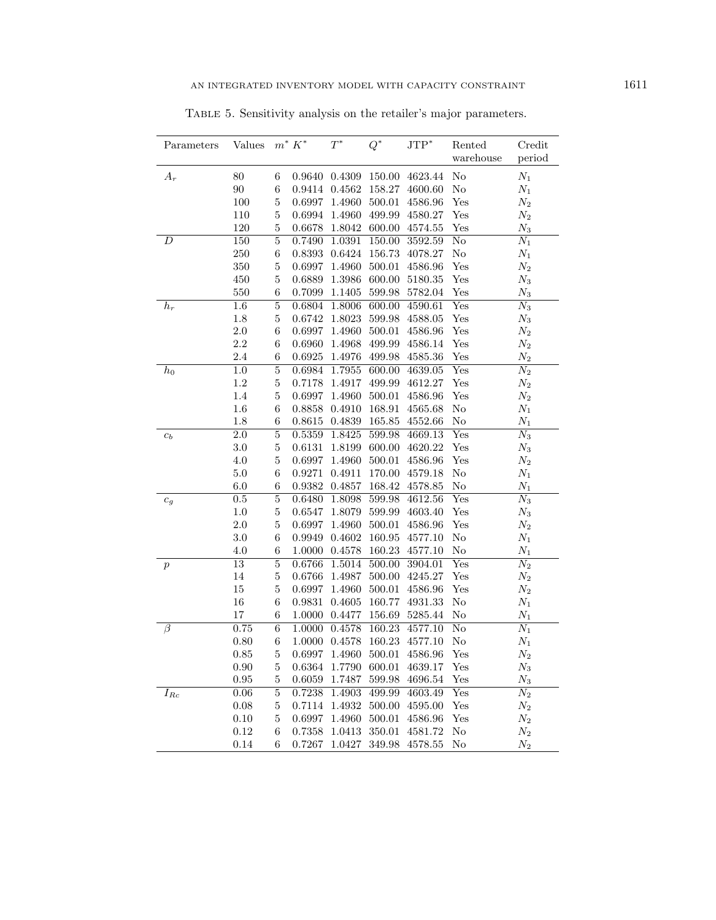| Parameters       | <b>Values</b>    |                  | $m^* K^*$ | $\mathcal{T}^*$ | $Q^*$  | $JTP^*$ | Rented                    | Credit             |
|------------------|------------------|------------------|-----------|-----------------|--------|---------|---------------------------|--------------------|
|                  |                  |                  |           |                 |        |         | warehouse                 | period             |
| $A_r$            | 80               | 6                | 0.9640    | 0.4309          | 150.00 | 4623.44 | $\rm No$                  | $\mathcal{N}_1$    |
|                  | $90\,$           | $\,$ 6 $\,$      | 0.9414    | 0.4562          | 158.27 | 4600.60 | $\rm No$                  | $N_1$              |
|                  | $100\,$          | $\overline{5}$   | 0.6997    | 1.4960          | 500.01 | 4586.96 | Yes                       | $\mathcal{N}_2$    |
|                  | $110\,$          | $\overline{5}$   | 0.6994    | 1.4960          | 499.99 | 4580.27 | $_{\rm Yes}$              | $N_2$              |
|                  | 120              | $\overline{5}$   | 0.6678    | 1.8042          | 600.00 | 4574.55 | Yes                       | $N_3$              |
| D                | 150              | $\overline{5}$   | 0.7490    | 1.0391          | 150.00 | 3592.59 | $\overline{\text{No}}$    | $N_1$              |
|                  | 250              | $\,$ 6 $\,$      | 0.8393    | 0.6424          | 156.73 | 4078.27 | No                        | $\mathcal{N}_1$    |
|                  | 350              | $\overline{5}$   | 0.6997    | 1.4960          | 500.01 | 4586.96 | Yes                       | $\mathcal{N}_2$    |
|                  | 450              | $\overline{5}$   | 0.6889    | 1.3986          | 600.00 | 5180.35 | $_{\rm Yes}$              | $\mathcal{N}_3$    |
|                  | 550              | 6                | 0.7099    | 1.1405          | 599.98 | 5782.04 | $_{\rm Yes}$              | $N_3$              |
| $\mathfrak{h}_r$ | 1.6              | $\overline{5}$   | 0.6804    | 1.8006          | 600.00 | 4590.61 | Yes                       | $\overline{N_3}$   |
|                  | $1.8\,$          | $\overline{5}$   | 0.6742    | 1.8023          | 599.98 | 4588.05 | $_{\rm Yes}$              | $\mathcal{N}_3$    |
|                  | 2.0              | $\boldsymbol{6}$ | 0.6997    | 1.4960          | 500.01 | 4586.96 | $_{\rm Yes}$              | $\mathcal{N}_2$    |
|                  | 2.2              | 6                | 0.6960    | 1.4968          | 499.99 | 4586.14 | $_{\rm Yes}$              | $\mathcal{N}_2$    |
|                  | 2.4              | 6                | 0.6925    | $1.4976\,$      | 499.98 | 4585.36 | $_{\rm Yes}$              | $\scriptstyle N_2$ |
| $h_0$            | $\overline{1.0}$ | $\overline{5}$   | 0.6984    | 1.7955          | 600.00 | 4639.05 | Yes                       | $\overline{N_2}$   |
|                  | $1.2\,$          | $\overline{5}$   | 0.7178    | 1.4917          | 499.99 | 4612.27 | Yes                       | $\mathcal{N}_2$    |
|                  | 1.4              | $\overline{5}$   | 0.6997    | 1.4960          | 500.01 | 4586.96 | $_{\rm Yes}$              | $N_2$              |
|                  | $1.6\,$          | 6                | 0.8858    | 0.4910          | 168.91 | 4565.68 | No                        | $\mathcal{N}_1$    |
|                  | $1.8\,$          | 6                | 0.8615    | 0.4839          | 165.85 | 4552.66 | No                        | $\mathcal{N}_1$    |
| $c_b$            | $\overline{2.0}$ | $\overline{5}$   | 0.5359    | 1.8425          | 599.98 | 4669.13 | $_{\rm Yes}$              | $\overline{N_3}$   |
|                  | $3.0\,$          | $\overline{5}$   | 0.6131    | 1.8199          | 600.00 | 4620.22 | $_{\rm Yes}$              | $\mathcal{N}_3$    |
|                  | 4.0              | $\overline{5}$   | 0.6997    | 1.4960          | 500.01 | 4586.96 | $_{\rm Yes}$              | $N_{2}$            |
|                  | $5.0\,$          | 6                | 0.9271    | 0.4911          | 170.00 | 4579.18 | $\rm No$                  | $\mathcal{N}_1$    |
|                  | $6.0\,$          | 6                | 0.9382    | 0.4857          | 168.42 | 4578.85 | No                        | $\mathcal{N}_1$    |
| $c_g$            | 0.5              | $\overline{5}$   | 0.6480    | 1.8098          | 599.98 | 4612.56 | Yes                       | $\overline{N_3}$   |
|                  | $1.0\,$          | $\overline{5}$   | 0.6547    | 1.8079          | 599.99 | 4603.40 | Yes                       | $\mathcal{N}_3$    |
|                  | $2.0\,$          | $\overline{5}$   | 0.6997    | 1.4960          | 500.01 | 4586.96 | $_{\rm Yes}$              | $\mathcal{N}_2$    |
|                  | $3.0\,$          | $\overline{6}$   | 0.9949    | 0.4602          | 160.95 | 4577.10 | No                        | $\mathcal{N}_1$    |
|                  | $4.0\,$          | 6                | 1.0000    | 0.4578          | 160.23 | 4577.10 | No                        | $\mathcal{N}_1$    |
| $\boldsymbol{p}$ | $\overline{13}$  | $\overline{5}$   | 0.6766    | 1.5014          | 500.00 | 3904.01 | $_{\rm Yes}$              | $\overline{N_2}$   |
|                  | 14               | $\overline{5}$   | 0.6766    | 1.4987          | 500.00 | 4245.27 | Yes                       | $\mathcal{N}_2$    |
|                  | $15\,$           | $\overline{5}$   | 0.6997    | 1.4960          | 500.01 | 4586.96 | $_{\rm Yes}$              | $\mathcal{N}_2$    |
|                  | 16               | $\overline{6}$   | 0.9831    | 0.4605          | 160.77 | 4931.33 | No                        | $N_1$              |
|                  | 17               | 6                | 1.0000    | 0.4477          | 156.69 | 5285.44 | No                        | $\mathcal{N}_1$    |
| β                | 0.75             | $\overline{6}$   | 1.0000    | 0.4578          | 160.23 | 4577.10 | $\overline{\text{No}}$    | $N_1$              |
|                  | 0.80             | $\,$ 6 $\,$      | 1.0000    | 0.4578          | 160.23 | 4577.10 | No                        | $\mathcal{N}_1$    |
|                  | 0.85             | $\overline{5}$   | 0.6997    | 1.4960          | 500.01 | 4586.96 | $_{\rm Yes}$              | $\mathcal{N}_2$    |
|                  | 0.90             | $\overline{5}$   | 0.6364    | 1.7790          | 600.01 | 4639.17 | $_{\rm Yes}$              | $N_3$              |
|                  | $\rm 0.95$       | $\overline{5}$   | 0.6059    | 1.7487          | 599.98 | 4696.54 | $_{\rm Yes}$              | $\mathcal{N}_3$    |
| $I_{Rc}$         | 0.06             | $\overline{5}$   | 0.7238    | 1.4903          | 499.99 | 4603.49 | $\overline{\mathrm{Yes}}$ | $\overline{N_2}$   |
|                  | $0.08\,$         | $\bf 5$          | 0.7114    | 1.4932          | 500.00 | 4595.00 | $_{\rm Yes}$              | $\mathcal{N}_2$    |
|                  | 0.10             | $\bf 5$          | 0.6997    | 1.4960          | 500.01 | 4586.96 | $_{\rm Yes}$              | $\mathcal{N}_2$    |
|                  | 0.12             | $\overline{6}$   | 0.7358    | 1.0413          | 350.01 | 4581.72 | No                        | $\mathcal{N}_2$    |
|                  | 0.14             | 6                | 0.7267    | 1.0427          | 349.98 | 4578.55 | No                        | $\scriptstyle N_2$ |
|                  |                  |                  |           |                 |        |         |                           |                    |

<span id="page-18-0"></span>Table 5. Sensitivity analysis on the retailer's major parameters.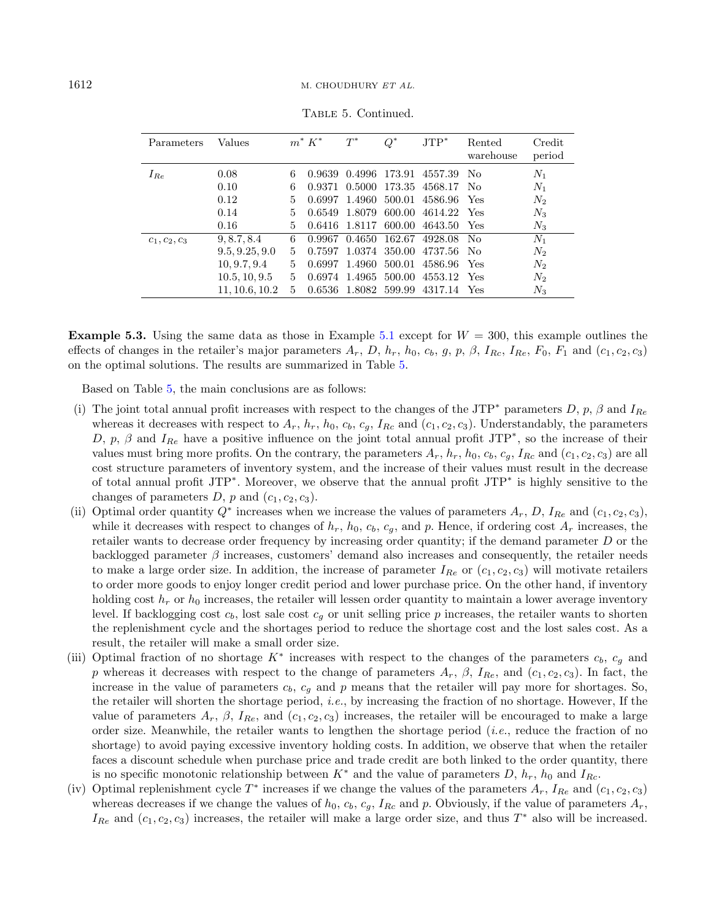| Parameters      | Values         |   | $m^* K^*$ | $T^*$  | $Q^*$  | $JTP^*$ | Rented<br>warehouse | Credit<br>period |
|-----------------|----------------|---|-----------|--------|--------|---------|---------------------|------------------|
| $I_{Re}$        | 0.08           | 6 | 0.9639    | 0.4996 | 173.91 | 4557.39 | No                  | $N_1$            |
|                 | 0.10           | 6 | 0.9371    | 0.5000 | 173.35 | 4568.17 | No.                 | $N_1$            |
|                 | 0.12           | 5 | 0.6997    | 1.4960 | 500.01 | 4586.96 | Yes                 | $N_2$            |
|                 | 0.14           | 5 | 0.6549    | 1.8079 | 600.00 | 4614.22 | Yes                 | $N_3$            |
|                 | 0.16           | 5 | 0.6416    | 1.8117 | 600.00 | 4643.50 | Yes                 | $N_3$            |
| $c_1, c_2, c_3$ | 9, 8.7, 8.4    | 6 | 0.9967    | 0.4650 | 162.67 | 4928.08 | N <sub>0</sub>      | $N_1$            |
|                 | 9.5, 9.25, 9.0 | 5 | 0.7597    | 1.0374 | 350.00 | 4737.56 | N <sub>0</sub>      | $N_2$            |
|                 | 10, 9.7, 9.4   | 5 | 0.6997    | 1.4960 | 500.01 | 4586.96 | Yes                 | $N_2$            |
|                 | 10.5, 10, 9.5  | 5 | 0.6974    | 1.4965 | 500.00 | 4553.12 | Yes                 | $N_2$            |
|                 | 11, 10.6, 10.2 | 5 | 0.6536    | 1.8082 | 599.99 | 4317.14 | Yes                 | $N_3$            |

Table 5. Continued.

**Example 5.3.** Using the same data as those in Example [5.1](#page-16-0) except for  $W = 300$ , this example outlines the effects of changes in the retailer's major parameters  $A_r$ ,  $D$ ,  $h_r$ ,  $h_0$ ,  $c_b$ ,  $g$ ,  $p$ ,  $\beta$ ,  $I_{Rc}$ ,  $I_{Re}$ ,  $F_0$ ,  $F_1$  and  $(c_1, c_2, c_3)$ on the optimal solutions. The results are summarized in Table [5.](#page-18-0)

Based on Table [5,](#page-18-0) the main conclusions are as follows:

- (i) The joint total annual profit increases with respect to the changes of the JTP<sup>\*</sup> parameters D, p,  $\beta$  and  $I_{Re}$ whereas it decreases with respect to  $A_r$ ,  $h_r$ ,  $h_0$ ,  $c_b$ ,  $c_g$ ,  $I_{Rc}$  and  $(c_1, c_2, c_3)$ . Understandably, the parameters D, p,  $\beta$  and  $I_{Re}$  have a positive influence on the joint total annual profit JTP<sup>\*</sup>, so the increase of their values must bring more profits. On the contrary, the parameters  $A_r$ ,  $h_r$ ,  $h_0$ ,  $c_b$ ,  $c_a$ ,  $I_{Rc}$  and  $(c_1, c_2, c_3)$  are all cost structure parameters of inventory system, and the increase of their values must result in the decrease of total annual profit JTP\* . Moreover, we observe that the annual profit JTP\* is highly sensitive to the changes of parameters  $D$ ,  $p$  and  $(c_1, c_2, c_3)$ .
- (ii) Optimal order quantity  $Q^*$  increases when we increase the values of parameters  $A_r$ , D,  $I_{Re}$  and  $(c_1, c_2, c_3)$ , while it decreases with respect to changes of  $h_r$ ,  $h_0$ ,  $c_b$ ,  $c_q$ , and p. Hence, if ordering cost  $A_r$  increases, the retailer wants to decrease order frequency by increasing order quantity; if the demand parameter  $D$  or the backlogged parameter  $\beta$  increases, customers' demand also increases and consequently, the retailer needs to make a large order size. In addition, the increase of parameter  $I_{Re}$  or  $(c_1, c_2, c_3)$  will motivate retailers to order more goods to enjoy longer credit period and lower purchase price. On the other hand, if inventory holding cost  $h_r$  or  $h_0$  increases, the retailer will lessen order quantity to maintain a lower average inventory level. If backlogging cost  $c_b$ , lost sale cost  $c_q$  or unit selling price  $p$  increases, the retailer wants to shorten the replenishment cycle and the shortages period to reduce the shortage cost and the lost sales cost. As a result, the retailer will make a small order size.
- (iii) Optimal fraction of no shortage  $K^*$  increases with respect to the changes of the parameters  $c_b$ ,  $c_g$  and p whereas it decreases with respect to the change of parameters  $A_r$ ,  $\beta$ ,  $I_{Re}$ , and  $(c_1, c_2, c_3)$ . In fact, the increase in the value of parameters  $c_b$ ,  $c_g$  and  $p$  means that the retailer will pay more for shortages. So, the retailer will shorten the shortage period, i.e., by increasing the fraction of no shortage. However, If the value of parameters  $A_r$ ,  $\beta$ ,  $I_{Re}$ , and  $(c_1, c_2, c_3)$  increases, the retailer will be encouraged to make a large order size. Meanwhile, the retailer wants to lengthen the shortage period (i.e., reduce the fraction of no shortage) to avoid paying excessive inventory holding costs. In addition, we observe that when the retailer faces a discount schedule when purchase price and trade credit are both linked to the order quantity, there is no specific monotonic relationship between  $K^*$  and the value of parameters  $D, h_r, h_0$  and  $I_{Re}$ .
- (iv) Optimal replenishment cycle  $T^*$  increases if we change the values of the parameters  $A_r$ ,  $I_{Re}$  and  $(c_1, c_2, c_3)$ whereas decreases if we change the values of  $h_0$ ,  $c_b$ ,  $c_g$ ,  $I_{Rc}$  and p. Obviously, if the value of parameters  $A_r$ ,  $I_{Re}$  and  $(c_1, c_2, c_3)$  increases, the retailer will make a large order size, and thus  $T^*$  also will be increased.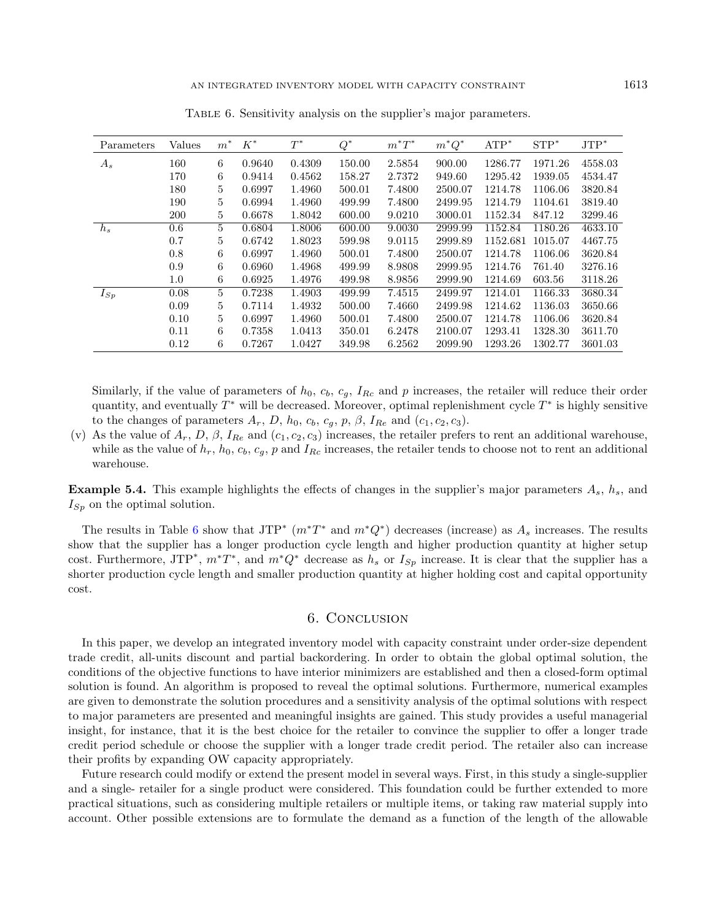| Parameters | Values  | $m^*$ | $K^*$  | $T^*$  | $Q^*$  | $m^*T^*$ | $m^*Q^*$ | $ATP^*$  | $STP^*$ | $JTP^*$ |
|------------|---------|-------|--------|--------|--------|----------|----------|----------|---------|---------|
| $A_s$      | 160     | 6     | 0.9640 | 0.4309 | 150.00 | 2.5854   | 900.00   | 1286.77  | 1971.26 | 4558.03 |
|            | 170     | 6     | 0.9414 | 0.4562 | 158.27 | 2.7372   | 949.60   | 1295.42  | 1939.05 | 4534.47 |
|            | 180     | 5     | 0.6997 | 1.4960 | 500.01 | 7.4800   | 2500.07  | 1214.78  | 1106.06 | 3820.84 |
|            | 190     | 5     | 0.6994 | 1.4960 | 499.99 | 7.4800   | 2499.95  | 1214.79  | 1104.61 | 3819.40 |
|            | 200     | 5     | 0.6678 | 1.8042 | 600.00 | 9.0210   | 3000.01  | 1152.34  | 847.12  | 3299.46 |
| $h_s$      | $0.6\,$ | 5     | 0.6804 | 1.8006 | 600.00 | 9.0030   | 2999.99  | 1152.84  | 1180.26 | 4633.10 |
|            | 0.7     | 5     | 0.6742 | 1.8023 | 599.98 | 9.0115   | 2999.89  | 1152.681 | 1015.07 | 4467.75 |
|            | 0.8     | 6     | 0.6997 | 1.4960 | 500.01 | 7.4800   | 2500.07  | 1214.78  | 1106.06 | 3620.84 |
|            | 0.9     | 6     | 0.6960 | 1.4968 | 499.99 | 8.9808   | 2999.95  | 1214.76  | 761.40  | 3276.16 |
|            | $1.0\,$ | 6     | 0.6925 | 1.4976 | 499.98 | 8.9856   | 2999.90  | 1214.69  | 603.56  | 3118.26 |
| $I_{Sp}$   | 0.08    | 5     | 0.7238 | 1.4903 | 499.99 | 7.4515   | 2499.97  | 1214.01  | 1166.33 | 3680.34 |
|            | 0.09    | 5     | 0.7114 | 1.4932 | 500.00 | 7.4660   | 2499.98  | 1214.62  | 1136.03 | 3650.66 |
|            | 0.10    | 5     | 0.6997 | 1.4960 | 500.01 | 7.4800   | 2500.07  | 1214.78  | 1106.06 | 3620.84 |
|            | 0.11    | 6     | 0.7358 | 1.0413 | 350.01 | 6.2478   | 2100.07  | 1293.41  | 1328.30 | 3611.70 |
|            | 0.12    | 6     | 0.7267 | 1.0427 | 349.98 | 6.2562   | 2099.90  | 1293.26  | 1302.77 | 3601.03 |

<span id="page-20-0"></span>Table 6. Sensitivity analysis on the supplier's major parameters.

Similarly, if the value of parameters of  $h_0$ ,  $c_b$ ,  $c_g$ ,  $I_{Rc}$  and p increases, the retailer will reduce their order quantity, and eventually  $T^*$  will be decreased. Moreover, optimal replenishment cycle  $T^*$  is highly sensitive to the changes of parameters  $A_r$ ,  $D$ ,  $h_0$ ,  $c_b$ ,  $c_g$ ,  $p$ ,  $\beta$ ,  $I_{Re}$  and  $(c_1, c_2, c_3)$ .

(v) As the value of  $A_r$ ,  $D$ ,  $\beta$ ,  $I_{Re}$  and  $(c_1, c_2, c_3)$  increases, the retailer prefers to rent an additional warehouse, while as the value of  $h_r$ ,  $h_0$ ,  $c_b$ ,  $c_q$ ,  $p$  and  $I_{Rc}$  increases, the retailer tends to choose not to rent an additional warehouse.

**Example 5.4.** This example highlights the effects of changes in the supplier's major parameters  $A_s$ ,  $h_s$ , and  $I_{\text{S}_p}$  on the optimal solution.

The results in Table [6](#page-20-0) show that JTP<sup>\*</sup>  $(m^*T^*$  and  $m^*Q^*)$  decreases (increase) as  $A_s$  increases. The results show that the supplier has a longer production cycle length and higher production quantity at higher setup cost. Furthermore, JTP<sup>\*</sup>,  $m^*T^*$ , and  $m^*Q^*$  decrease as  $h_s$  or  $I_{Sp}$  increase. It is clear that the supplier has a shorter production cycle length and smaller production quantity at higher holding cost and capital opportunity cost.

#### 6. Conclusion

In this paper, we develop an integrated inventory model with capacity constraint under order-size dependent trade credit, all-units discount and partial backordering. In order to obtain the global optimal solution, the conditions of the objective functions to have interior minimizers are established and then a closed-form optimal solution is found. An algorithm is proposed to reveal the optimal solutions. Furthermore, numerical examples are given to demonstrate the solution procedures and a sensitivity analysis of the optimal solutions with respect to major parameters are presented and meaningful insights are gained. This study provides a useful managerial insight, for instance, that it is the best choice for the retailer to convince the supplier to offer a longer trade credit period schedule or choose the supplier with a longer trade credit period. The retailer also can increase their profits by expanding OW capacity appropriately.

Future research could modify or extend the present model in several ways. First, in this study a single-supplier and a single- retailer for a single product were considered. This foundation could be further extended to more practical situations, such as considering multiple retailers or multiple items, or taking raw material supply into account. Other possible extensions are to formulate the demand as a function of the length of the allowable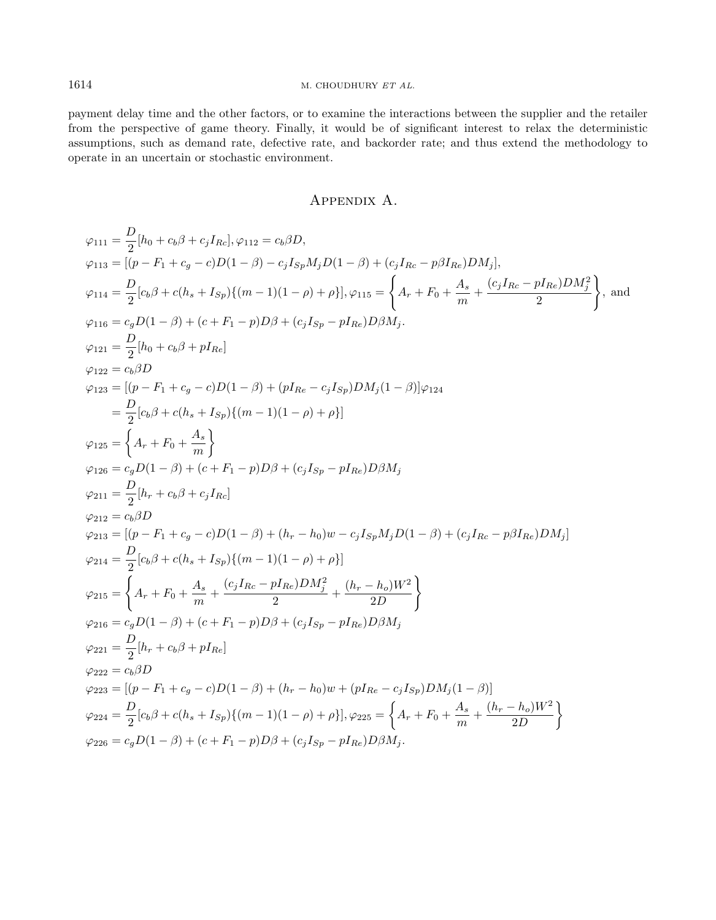payment delay time and the other factors, or to examine the interactions between the supplier and the retailer from the perspective of game theory. Finally, it would be of significant interest to relax the deterministic assumptions, such as demand rate, defective rate, and backorder rate; and thus extend the methodology to operate in an uncertain or stochastic environment.

## Appendix A.

<span id="page-21-0"></span>
$$
\varphi_{111} = \frac{D}{2}[h_0 + c_b \beta + c_j I_{Rc}], \varphi_{112} = c_b \beta D,
$$
  
\n
$$
\varphi_{113} = [(p - F_1 + c_g - c)D(1 - \beta) - c_j I_{Sp} M_j D(1 - \beta) + (c_j I_{Re} - p \beta I_{Re}) D M_j],
$$
  
\n
$$
\varphi_{114} = \frac{D}{2}[c_b \beta + c(h_s + I_{Sp})\{ (m - 1)(1 - \rho) + \rho \}], \varphi_{115} = \begin{cases} A_r + F_0 + \frac{A_s}{m} + \frac{(c_j I_{Re} - p I_{Re}) D M_j^2}{2} \\ 2(1 - \beta) + (c + F_1 - p) D \beta + (c_j I_{Sp} - p I_{Re}) D \beta M_j. \end{cases}
$$
  
\n
$$
\varphi_{121} = \frac{D}{2}[h_0 + c_b \beta + p I_{Re}]
$$
  
\n
$$
\varphi_{122} = c_b \beta D
$$
  
\n
$$
\varphi_{123} = [(p - F_1 + c_g - c)D(1 - \beta) + (p I_{Re} - c_j I_{Sp}) D M_j (1 - \beta)] \varphi_{124}
$$
  
\n
$$
= \frac{D}{2}[c_b \beta + c(h_s + I_{Sp})\{ (m - 1)(1 - \rho) + \rho \}]
$$
  
\n
$$
\varphi_{125} = \begin{cases} A_r + F_0 + \frac{A_s}{m} \end{cases}
$$
  
\n
$$
\varphi_{126} = c_g D(1 - \beta) + (c + F_1 - p) D \beta + (c_j I_{Sp} - p I_{Re}) D \beta M_j
$$
  
\n
$$
\varphi_{211} = \frac{D}{2}[h_r + c_b \beta + c_j I_{Re}]
$$
  
\n
$$
\varphi_{212} = c_b \beta D
$$
  
\n
$$
\varphi_{213} = [(p - F_1 + c_g - c)D(1 - \beta) + (h_r - h_0) w - c_j I_{Sp} M_j D(1 - \beta) + (c_j I_{Re} - p \beta I_{Re}) D M_j]
$$
  
\n
$$
\varphi_{214} = \frac{D}{2}[c_b \beta + c(h_s + I_{Sp})\
$$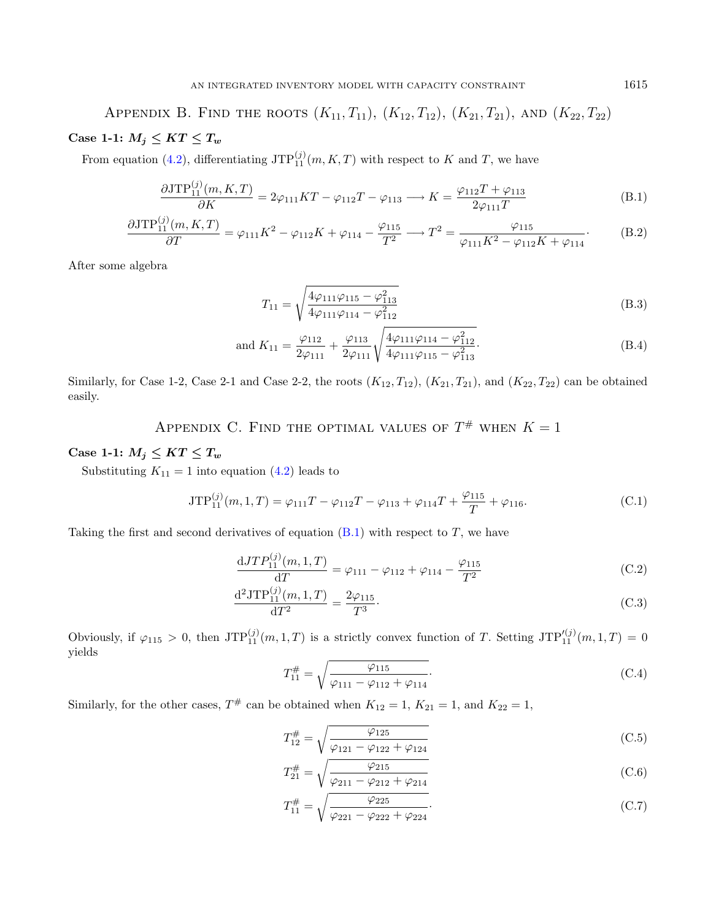<span id="page-22-0"></span>APPENDIX B. FIND THE ROOTS  $(K_{11}, T_{11}), (K_{12}, T_{12}), (K_{21}, T_{21}),$  AND  $(K_{22}, T_{22})$ Case 1-1:  $M_j \leq KT \leq T_w$ 

From equation [\(4.2\)](#page-10-4), differentiating  $JTP_{11}^{(j)}(m,K,T)$  with respect to K and T, we have

$$
\frac{\partial JTP_{11}^{(j)}(m,K,T)}{\partial K} = 2\varphi_{111}KT - \varphi_{112}T - \varphi_{113} \longrightarrow K = \frac{\varphi_{112}T + \varphi_{113}}{2\varphi_{111}T}
$$
(B.1)

$$
\frac{\partial\text{JTP}_{11}^{(j)}(m,K,T)}{\partial T} = \varphi_{111}K^2 - \varphi_{112}K + \varphi_{114} - \frac{\varphi_{115}}{T^2} \longrightarrow T^2 = \frac{\varphi_{115}}{\varphi_{111}K^2 - \varphi_{112}K + \varphi_{114}}.
$$
(B.2)

After some algebra

<span id="page-22-5"></span>
$$
T_{11} = \sqrt{\frac{4\varphi_{111}\varphi_{115} - \varphi_{113}^2}{4\varphi_{111}\varphi_{114} - \varphi_{112}^2}}
$$
(B.3)

and 
$$
K_{11} = \frac{\varphi_{112}}{2\varphi_{111}} + \frac{\varphi_{113}}{2\varphi_{111}} \sqrt{\frac{4\varphi_{111}\varphi_{114} - \varphi_{112}^2}{4\varphi_{111}\varphi_{115} - \varphi_{113}^2}}
$$
. (B.4)

Similarly, for Case 1-2, Case 2-1 and Case 2-2, the roots  $(K_{12}, T_{12})$ ,  $(K_{21}, T_{21})$ , and  $(K_{22}, T_{22})$  can be obtained easily.

APPENDIX C. FIND THE OPTIMAL VALUES OF  $T^{\#}$  when  $K = 1$ 

### <span id="page-22-3"></span>Case 1-1:  $M_j \leq KT \leq T_w$

Substituting  $K_{11} = 1$  into equation [\(4.2\)](#page-10-4) leads to

$$
JTP_{11}^{(j)}(m,1,T) = \varphi_{111}T - \varphi_{112}T - \varphi_{113} + \varphi_{114}T + \frac{\varphi_{115}}{T} + \varphi_{116}.
$$
 (C.1)

Taking the first and second derivatives of equation  $(B.1)$  with respect to T, we have

$$
\frac{dJTP_{11}^{(j)}(m,1,T)}{dT} = \varphi_{111} - \varphi_{112} + \varphi_{114} - \frac{\varphi_{115}}{T^2}
$$
 (C.2)

$$
\frac{\mathrm{d}^2 \mathrm{JTP}_{11}^{(j)}(m,1,T)}{\mathrm{d}T^2} = \frac{2\varphi_{115}}{T^3}.\tag{C.3}
$$

Obviously, if  $\varphi_{115} > 0$ , then  $JTP_{11}^{(j)}(m, 1, T)$  is a strictly convex function of T. Setting  $JTP_{11}^{(j)}(m, 1, T) = 0$ yields

<span id="page-22-9"></span>
$$
T_{11}^{\#} = \sqrt{\frac{\varphi_{115}}{\varphi_{111} - \varphi_{112} + \varphi_{114}}}.
$$
\n(C.4)

Similarly, for the other cases,  $T^{\#}$  can be obtained when  $K_{12} = 1$ ,  $K_{21} = 1$ , and  $K_{22} = 1$ ,

$$
T_{12}^{\#} = \sqrt{\frac{\varphi_{125}}{\varphi_{121} - \varphi_{122} + \varphi_{124}}}
$$
\n(C.5)

$$
T_{21}^{\#} = \sqrt{\frac{\varphi_{215}}{\varphi_{211} - \varphi_{212} + \varphi_{214}}}
$$
\n(C.6)

$$
T_{11}^{\#} = \sqrt{\frac{\varphi_{225}}{\varphi_{221} - \varphi_{222} + \varphi_{224}}}.
$$
\n(C.7)

<span id="page-22-8"></span><span id="page-22-7"></span><span id="page-22-6"></span><span id="page-22-4"></span><span id="page-22-2"></span><span id="page-22-1"></span>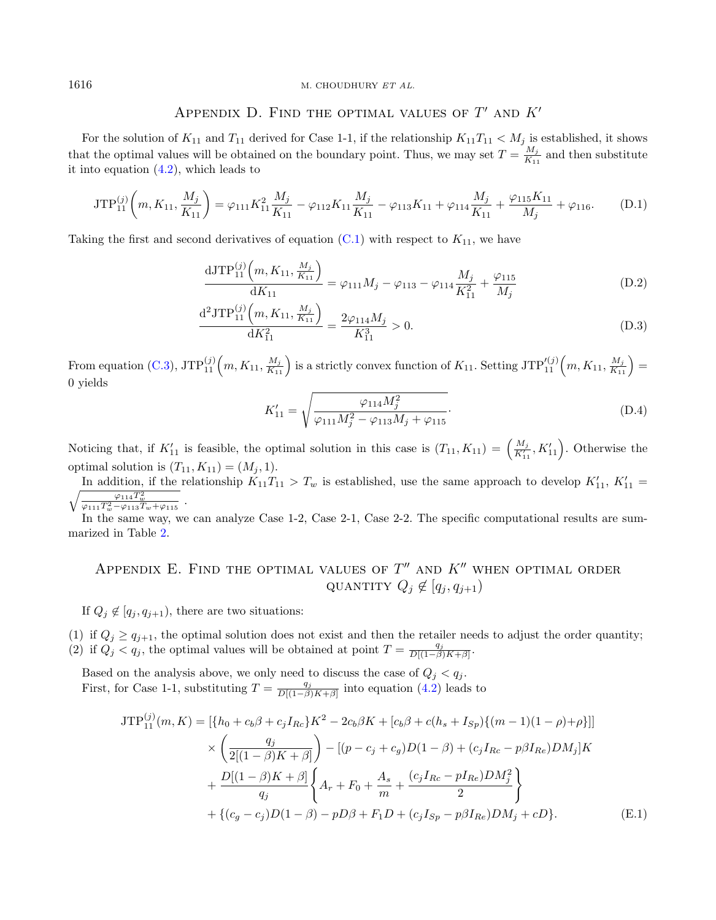## APPENDIX D. FIND THE OPTIMAL VALUES OF  $T'$  and  $K'$

<span id="page-23-0"></span>For the solution of  $K_{11}$  and  $T_{11}$  derived for Case 1-1, if the relationship  $K_{11}T_{11} < M_j$  is established, it shows that the optimal values will be obtained on the boundary point. Thus, we may set  $T = \frac{M_j}{K_{\perp}}$  $\frac{M_j}{K_{11}}$  and then substitute it into equation [\(4.2\)](#page-10-4), which leads to

<span id="page-23-4"></span>
$$
\text{JTP}_{11}^{(j)}\left(m, K_{11}, \frac{M_j}{K_{11}}\right) = \varphi_{111} K_{11}^2 \frac{M_j}{K_{11}} - \varphi_{112} K_{11} \frac{M_j}{K_{11}} - \varphi_{113} K_{11} + \varphi_{114} \frac{M_j}{K_{11}} + \frac{\varphi_{115} K_{11}}{M_j} + \varphi_{116}.
$$
 (D.1)

Taking the first and second derivatives of equation  $(C.1)$  with respect to  $K_{11}$ , we have

<span id="page-23-3"></span>
$$
\frac{\mathrm{dJTP}_{11}^{(j)}\left(m, K_{11}, \frac{M_j}{K_{11}}\right)}{\mathrm{d}K_{11}} = \varphi_{111} M_j - \varphi_{113} - \varphi_{114} \frac{M_j}{K_{11}^2} + \frac{\varphi_{115}}{M_j} \tag{D.2}
$$

$$
\frac{\mathrm{d}^2 \mathrm{JTP}_{11}^{(j)}\left(m, K_{11}, \frac{M_j}{K_{11}}\right)}{\mathrm{d}K_{11}^2} = \frac{2\varphi_{114}M_j}{K_{11}^3} > 0. \tag{D.3}
$$

From equation [\(C.3\)](#page-22-6),  $\text{JTP}_{11}^{(j)}\left(m, K_{11}, \frac{M_j}{K_{11}}\right)$  is a strictly convex function of  $K_{11}$ . Setting  $\text{JTP}_{11}^{\prime(j)}\left(m, K_{11}, \frac{M_j}{K_{11}}\right)$ 0 yields

<span id="page-23-2"></span>
$$
K'_{11} = \sqrt{\frac{\varphi_{114} M_j^2}{\varphi_{111} M_j^2 - \varphi_{113} M_j + \varphi_{115}}}.
$$
 (D.4)

Noticing that, if  $K'_{11}$  is feasible, the optimal solution in this case is  $(T_{11}, K_{11}) = \left(\frac{M_j}{K'_{11}}, K'_{11}\right)$ . Otherwise the optimal solution is  $(T_{11}, K_{11}) = (M_i, 1).$ 

In addition, if the relationship  $K_{11}T_{11} > T_w$  is established, use the same approach to develop  $K'_{11}$ ,  $K'_{12}$  $\frac{1}{2}$  $t'_{11} =$  $\frac{\varphi_{114} T_w^2}{\varphi_{111} T_w^2 - \varphi_{113} T_w + \varphi_{115}}$ .

In the same way, we can analyze Case 1-2, Case 2-1, Case 2-2. The specific computational results are summarized in Table [2.](#page-15-1)

## <span id="page-23-1"></span>APPENDIX E. FIND THE OPTIMAL VALUES OF  $T''$  and  $K''$  when optimal order QUANTITY  $Q_j \notin [q_j, q_{j+1})$

If  $Q_i \notin [q_i, q_{i+1})$ , there are two situations:

(1) if  $Q_i \ge q_{i+1}$ , the optimal solution does not exist and then the retailer needs to adjust the order quantity; (2) if  $Q_j < q_j$ , the optimal values will be obtained at point  $T = \frac{q_j}{D[(1-\beta)K+\beta]}$ .

Based on the analysis above, we only need to discuss the case of  $Q_j < q_j$ . First, for Case 1-1, substituting  $T = \frac{q_j}{D[(1-\beta)K+\beta]}$  into equation [\(4.2\)](#page-10-4) leads to

$$
JTP_{11}^{(j)}(m,K) = [\{h_0 + c_b\beta + c_jI_{Rc}\}K^2 - 2c_b\beta K + [c_b\beta + c(h_s + I_{Sp})\{(m-1)(1-\rho)+\rho\}]]
$$
  
\n
$$
\times \left(\frac{q_j}{2[(1-\beta)K+\beta]}\right) - [(p-c_j+c_g)D(1-\beta) + (c_jI_{Rc} - p\beta I_{Re})DM_j]K
$$
  
\n
$$
+ \frac{D[(1-\beta)K+\beta]}{q_j}\left\{A_r + F_0 + \frac{A_s}{m} + \frac{(c_jI_{Rc} - pI_{Re})DM_j^2}{2}\right\}
$$
  
\n
$$
+ \{(c_g - c_j)D(1-\beta) - pD\beta + F_1D + (c_jI_{Sp} - p\beta I_{Re})DM_j + cD\}.
$$
 (E.1)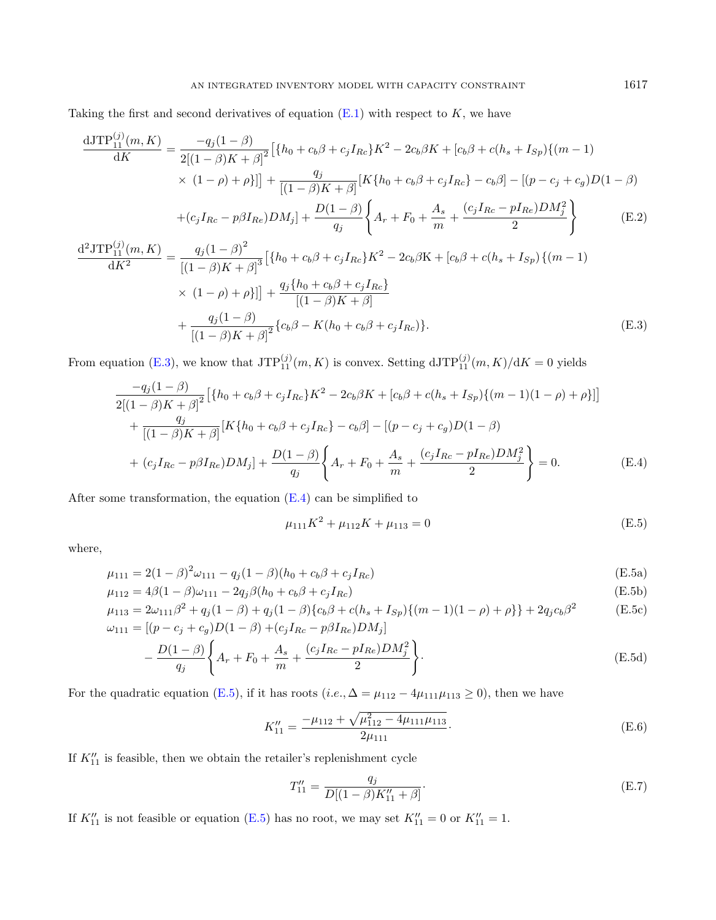Taking the first and second derivatives of equation  $(E.1)$  with respect to  $K$ , we have

<span id="page-24-3"></span>
$$
\frac{\text{dJTP}_{11}^{(j)}(m,K)}{\text{d}K} = \frac{-q_j(1-\beta)}{2[(1-\beta)K+\beta]^2} \left[ \{ h_0 + c_b \beta + c_j I_{Re} \} K^2 - 2c_b \beta K + [c_b \beta + c(h_s + I_{Sp}) \{ (m-1) \times (1-\beta)K + \beta \} ] \right] + \frac{q_j}{[(1-\beta)K+\beta]} [K \{ h_0 + c_b \beta + c_j I_{Re} \} - c_b \beta] - [(p-c_j + c_g)D(1-\beta) + (c_j I_{Re} - p\beta I_{Re})DM_j] + \frac{D(1-\beta)}{q_j} \left\{ A_r + F_0 + \frac{A_s}{m} + \frac{(c_j I_{Re} - pI_{Re})DM_j^2}{2} \right\} \tag{E.2}
$$

$$
\frac{d^2JTP_{11}^{(j)}(m,K)}{dK^2} = \frac{q_j(1-\beta)^2}{[(1-\beta)K+\beta]^3} \left[ \{h_0 + c_b\beta + c_jI_{Rc}\}K^2 - 2c_b\beta K + [c_b\beta + c(h_s + I_{Sp})\{(m-1) \times (1-\rho) + \rho\}]\right] + \frac{q_j\{h_0 + c_b\beta + c_jI_{Rc}\}}{[(1-\beta)K+\beta]} + \frac{q_j(1-\beta)}{[(1-\beta)K+\beta]^2} \{c_b\beta - K(h_0 + c_b\beta + c_jI_{Rc})\}.
$$
\n(E.3)

From equation [\(E.3\)](#page-24-0), we know that  $\text{JTP}_{11}^{(j)}(m,K)$  is convex. Setting  $\text{dJTP}_{11}^{(j)}(m,K)/\text{d}K = 0$  yields

$$
\frac{-q_j(1-\beta)}{2[(1-\beta)K+\beta]^2} \left[ \{h_0 + c_b\beta + c_jI_{Rc}\}K^2 - 2c_b\beta K + [c_b\beta + c(h_s + I_{Sp})\{(m-1)(1-\rho) + \rho\}] \right] \n+ \frac{q_j}{[(1-\beta)K+\beta]} [K\{h_0 + c_b\beta + c_jI_{Rc}\} - c_b\beta] - [(p-c_j + c_g)D(1-\beta) \n+ (c_jI_{Rc} - p\beta I_{Re})DM_j] + \frac{D(1-\beta)}{q_j} \left\{A_r + F_0 + \frac{A_s}{m} + \frac{(c_jI_{Rc} - pI_{Re})DM_j^2}{2} \right\} = 0.
$$
\n(E.4)

After some transformation, the equation [\(E.4\)](#page-24-1) can be simplified to

<span id="page-24-4"></span><span id="page-24-2"></span><span id="page-24-1"></span><span id="page-24-0"></span>
$$
\mu_{111}K^2 + \mu_{112}K + \mu_{113} = 0
$$
\n(E.5)

where,

$$
\mu_{111} = 2(1 - \beta)^2 \omega_{111} - q_j (1 - \beta)(h_0 + c_b \beta + c_j I_{Rc})
$$
\n(E.5a)

$$
\mu_{112} = 4\beta (1 - \beta)\omega_{111} - 2q_j \beta (h_0 + c_b \beta + c_j I_{Rc})
$$
(E.5b)

$$
\mu_{113} = 2\omega_{111}\beta^2 + q_j(1-\beta) + q_j(1-\beta)\{c_b\beta + c(h_s + I_{Sp})\{(m-1)(1-\rho) + \rho\}\} + 2q_jc_b\beta^2
$$
\n(E.5c)  
\n
$$
\omega_{111} = \left[ (p-c_j + c_g)D(1-\beta) + (c_jI_{Re} - p\beta I_{Re})DM_j \right]
$$

$$
-\frac{D(1-\beta)}{q_j} \left\{ A_r + F_0 + \frac{A_s}{m} + \frac{(c_j I_{Rc} - p I_{Re}) D M_j^2}{2} \right\}.
$$
 (E.5d)

For the quadratic equation [\(E.5\)](#page-24-2), if it has roots  $(i.e., \Delta = \mu_{112} - 4\mu_{111}\mu_{113} \ge 0)$ , then we have

$$
K_{11}'' = \frac{-\mu_{112} + \sqrt{\mu_{112}^2 - 4\mu_{111}\mu_{113}}}{2\mu_{111}}.
$$
\n(E.6)

If  $K''_{11}$  is feasible, then we obtain the retailer's replenishment cycle

$$
T_{11}'' = \frac{q_j}{D[(1-\beta)K_{11}'' + \beta]}.
$$
\n(E.7)

If  $K''_{11}$  is not feasible or equation [\(E.5\)](#page-24-2) has no root, we may set  $K''_{11} = 0$  or  $K''_{11} = 1$ .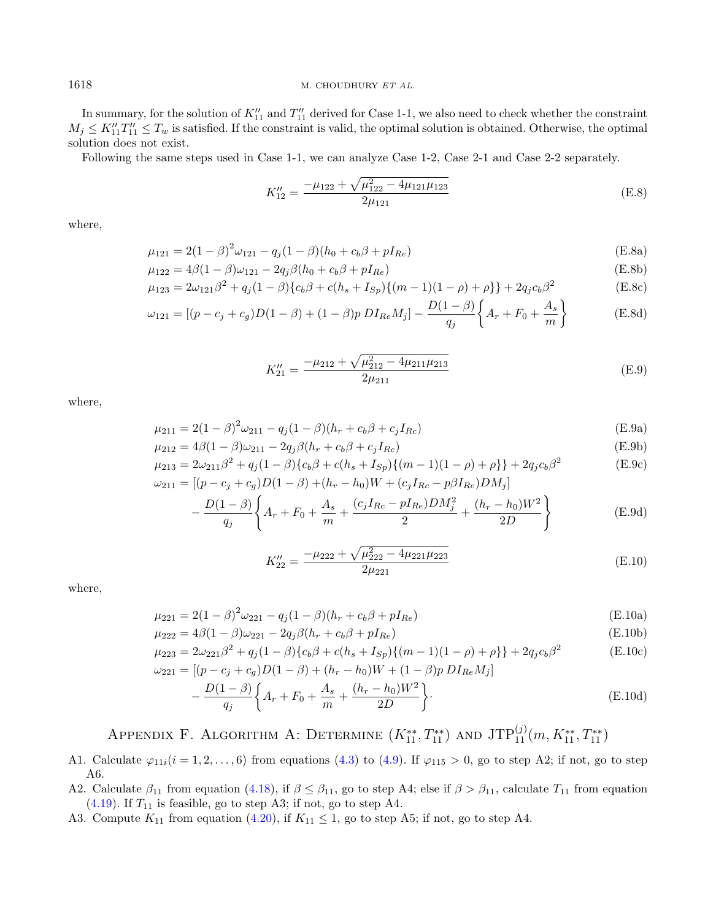In summary, for the solution of  $K''_{11}$  and  $T''_{11}$  derived for Case 1-1, we also need to check whether the constraint  $M_j \le K''_{11}T''_{11} \le T_w$  is satisfied. If the constraint is valid, the optimal solution is obtained. Otherwise, the optimal solution does not exist.

Following the same steps used in Case 1-1, we can analyze Case 1-2, Case 2-1 and Case 2-2 separately.

<span id="page-25-2"></span><span id="page-25-1"></span>
$$
K_{12}'' = \frac{-\mu_{122} + \sqrt{\mu_{122}^2 - 4\mu_{121}\mu_{123}}}{2\mu_{121}}
$$
(E.8)

where,

$$
\mu_{121} = 2(1 - \beta)^2 \omega_{121} - q_j (1 - \beta)(h_0 + c_b \beta + pI_{Re})
$$
\n(E.8a)

$$
\mu_{122} = 4\beta (1 - \beta)\omega_{121} - 2q_j\beta (h_0 + c_b\beta + pI_{Re})
$$
\n(E.8b)

$$
\mu_{123} = 2\omega_{121}\beta^2 + q_j(1-\beta)\{c_b\beta + c(h_s + I_{Sp})\{(m-1)(1-\rho) + \rho\}\} + 2q_jc_b\beta^2
$$
(E.8c)

$$
\omega_{121} = \left[ (p - c_j + c_g)D(1 - \beta) + (1 - \beta)p \ D I_{Re} M_j \right] - \frac{D(1 - \beta)}{q_j} \left\{ A_r + F_0 + \frac{A_s}{m} \right\} \tag{E.8d}
$$

$$
K_{21}'' = \frac{-\mu_{212} + \sqrt{\mu_{212}^2 - 4\mu_{211}\mu_{213}}}{2\mu_{211}}
$$
(E.9)

<span id="page-25-3"></span>where,

$$
\mu_{211} = 2(1 - \beta)^2 \omega_{211} - q_j (1 - \beta)(h_r + c_b \beta + c_j I_{Rc})
$$
\n(E.9a)

$$
\mu_{212} = 4\beta (1 - \beta)\omega_{211} - 2q_j\beta (h_r + c_b\beta + c_j I_{Rc})
$$
\n(E.9b)

$$
\mu_{213} = 2\omega_{211}\beta^2 + q_j(1-\beta)\{c_b\beta + c(h_s + I_{Sp})\{(m-1)(1-\rho) + \rho\}\} + 2q_jc_b\beta^2
$$
\n(E.9c)  
\n
$$
\omega_{211} = [(p-c_j+c_g)D(1-\beta) + (h_r - h_0)W + (c_jI_{Re} - p\beta I_{Re})DM_j]
$$

$$
-\frac{D(1-\beta)}{q_j} \left\{ A_r + F_0 + \frac{A_s}{m} + \frac{(c_j I_{Rc} - pI_{Re})DM_j^2}{2} + \frac{(h_r - h_0)W^2}{2D} \right\}
$$
(E.9d)

$$
K_{22}'' = \frac{-\mu_{222} + \sqrt{\mu_{222}^2 - 4\mu_{221}\mu_{223}}}{2\mu_{221}}\tag{E.10}
$$

where,

$$
\mu_{221} = 2(1 - \beta)^2 \omega_{221} - q_j (1 - \beta)(h_r + c_b \beta + pI_{Re})
$$
\n(E.10a)

$$
\mu_{222} = 4\beta(1 - \beta)\omega_{221} - 2q_j\beta(h_r + c_b\beta + pI_{Re})
$$
\n(E.10b)

$$
\mu_{223} = 2\omega_{221}\beta^2 + q_j(1-\beta)\{c_b\beta + c(h_s + I_{Sp})\{(m-1)(1-\rho) + \rho\}\} + 2q_jc_b\beta^2
$$
\n
$$
\mu_{221} = \left[ (p - c_j + c_q)D(1-\beta) + (h_r - h_0)W + (1-\beta)p\ D I_{Re}M_j \right]
$$
\n(E.10c)

$$
-\frac{D(1-\beta)}{q_j} \left\{ A_r + F_0 + \frac{A_s}{m} + \frac{(h_r - h_0)W^2}{2D} \right\}.
$$
 (E.10d)

## APPENDIX F. ALGORITHM A: DETERMINE  $(K_{11}^{**}, T_{11}^{**})$  and  $JTP_{11}^{(j)}(m, K_{11}^{**}, T_{11}^{**})$

- <span id="page-25-0"></span>A1. Calculate  $\varphi_{11i} (i = 1, 2, \ldots, 6)$  from equations [\(4.3\)](#page-10-2) to [\(4.9\)](#page-11-3). If  $\varphi_{115} > 0$ , go to step A2; if not, go to step A6.
- A2. Calculate  $\beta_{11}$  from equation [\(4.18\)](#page-13-3), if  $\beta \leq \beta_{11}$ , go to step A4; else if  $\beta > \beta_{11}$ , calculate  $T_{11}$  from equation  $(4.19)$ . If  $T_{11}$  is feasible, go to step A3; if not, go to step A4.
- A3. Compute  $K_{11}$  from equation [\(4.20\)](#page-13-4), if  $K_{11} \leq 1$ , go to step A5; if not, go to step A4.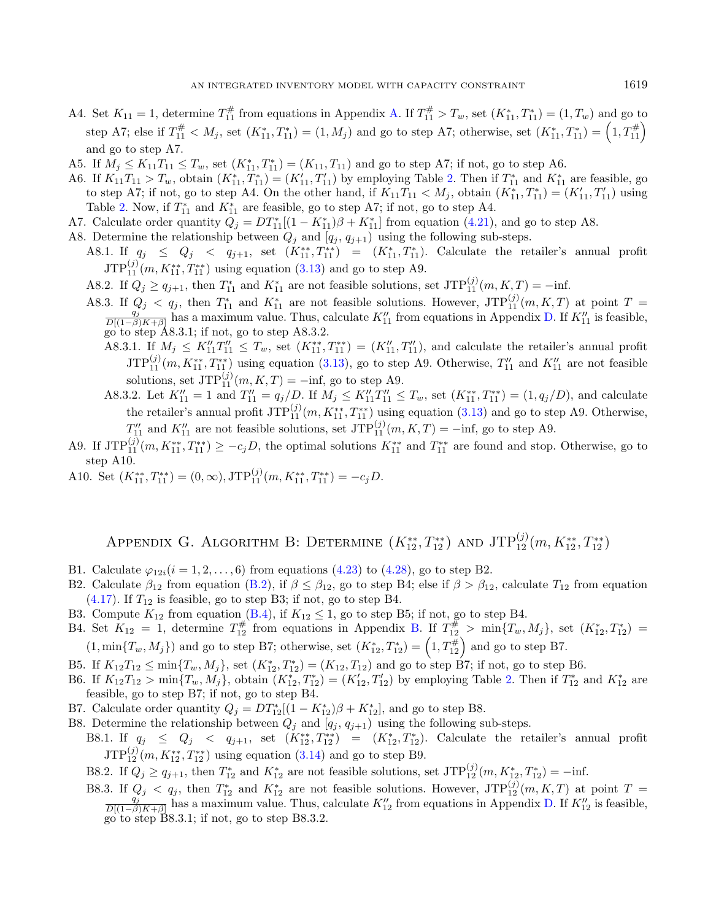- A4. Set  $K_{11} = 1$ , determine  $T_{11}^{\#}$  from equations in Appendix [A.](#page-21-0) If  $T_{11}^{\#} > T_w$ , set  $(K_{11}^*, T_{11}^*) = (1, T_w)$  and go to step A7; else if  $T_{11}^{\#} < M_j$ , set  $(K_{11}^*, T_{11}^*) = (1, M_j)$  and go to step A7; otherwise, set  $(K_{11}^*, T_{11}^*) = (1, T_{11}^{\#})$ and go to step A7.
- A5. If  $M_j \le K_{11}T_{11} \le T_w$ , set  $(K_{11}^*, T_{11}^*) = (K_{11}, T_{11})$  and go to step A7; if not, go to step A6.
- A6. If  $K_{11}T_{11} > T_w$ , obtain  $(K_{11}^*, T_{11}^*) = (K_{11}', T_{11}')$  by employing Table [2.](#page-15-1) Then if  $T_{11}^*$  and  $K_{11}^*$  are feasible, go to step A7; if not, go to step A4. On the other hand, if  $K_{11}T_{11} < M_j$ , obtain  $(K_{11}^*, T_{11}^*) = (K'_{11}, T'_{11})$  using Table [2.](#page-15-1) Now, if  $T_{11}^*$  and  $K_{11}^*$  are feasible, go to step A7; if not, go to step A4.
- A7. Calculate order quantity  $Q_j = DT_{11}^*[(1 K_{11}^*)\beta + K_{11}^*]$  from equation [\(4.21\)](#page-14-0), and go to step A8.
- A8. Determine the relationship between  $Q_j$  and  $[q_j, q_{j+1}]$  using the following sub-steps.
	- A8.1. If  $q_j \leq Q_j \leq q_{j+1}$ , set  $(K_{11}^{**}, T_{11}^{**}) = (K_{11}^*, T_{11}^*)$ . Calculate the retailer's annual profit  $JTP_{11}^{(j)}(m, K_{11}^{**}, T_{11}^{**})$  using equation [\(3.13\)](#page-9-0) and go to step A9.
	- A8.2. If  $Q_j \ge q_{j+1}$ , then  $T_{11}^*$  and  $K_{11}^*$  are not feasible solutions, set  $\text{JTP}_{11}^{(j)}(m, K, T) = -\text{inf.}$
	- A8.3. If  $Q_j < q_j$ , then  $T_{11}^*$  and  $K_{11}^*$  are not feasible solutions. However,  $JTP_{11}^{(j)}(m, K, T)$  at point  $T = \frac{q_j}{D[(1-\beta)K+\beta]}$  has a maximum value. Thus, calculate  $K_{11}'$  from equations in Appendix [D.](#page-23-0) If  $K_{11}'$  i go to step A8.3.1; if not, go to step A8.3.2.
		- A8.3.1. If  $M_j \leq K''_{11}T''_{11} \leq T_w$ , set  $(K^{**}_{11}, T''_{11}) = (K''_{11}, T''_{11})$ , and calculate the retailer's annual profit  $JTP_{11}^{(j)}(m,K_{11}^{**},T_{11}^{**})$  using equation [\(3.13\)](#page-9-0), go to step A9. Otherwise,  $T_{11}'$  and  $K_{11}''$  are not feasible solutions, set  $JTP_{11}^{(j)}(m, K, T) = -\inf$ , go to step A9.
		- A8.3.2. Let  $K''_{11} = 1$  and  $T''_{11} = q_j/D$ . If  $M_j \le K''_{11}T''_{11} \le T_w$ , set  $(K^{**}_{11}, T^{**}_{11}) = (1, q_j/D)$ , and calculate the retailer's annual profit  $\text{JTP}_{11}^{(j)}(m, K_{11}^{**}, T_{11}^{**})$  using equation [\(3.13\)](#page-9-0) and go to step A9. Otherwise,  $T''_{11}$  and  $K''_{11}$  are not feasible solutions, set  $\text{JTP}_{11}^{(j)}(m,K,T) = -\text{inf}$ , go to step A9.
- A9. If  $JTP_{11}^{(j)}(m, K_{11}^{**}, T_{11}^{**}) \geq -c_jD$ , the optimal solutions  $K_{11}^{**}$  and  $T_{11}^{**}$  are found and stop. Otherwise, go to step A10.
- A10. Set  $(K_{11}^{**}, T_{11}^{**}) = (0, \infty), JTP_{11}^{(j)}(m, K_{11}^{**}, T_{11}^{**}) = -c_j D.$

## APPENDIX G. ALGORITHM B: DETERMINE  $(K_{12}^{**}, T_{12}^{**})$  and  $\text{JTP}_{12}^{(j)}(m, K_{12}^{**}, T_{12}^{**})$

- <span id="page-26-0"></span>B1. Calculate  $\varphi_{12i} (i = 1, 2, ..., 6)$  from equations [\(4.23\)](#page-14-2) to [\(4.28\)](#page-15-0), go to step B2.
- B2. Calculate  $\beta_{12}$  from equation [\(B.2\)](#page-22-7), if  $\beta \leq \beta_{12}$ , go to step B4; else if  $\beta > \beta_{12}$ , calculate  $T_{12}$  from equation  $(4.17)$ . If  $T_{12}$  is feasible, go to step B3; if not, go to step B4.
- B3. Compute  $K_{12}$  from equation [\(B.4\)](#page-22-2), if  $K_{12} \le 1$ , go to step B5; if not, go to step B4.
- B4. Set  $K_{12} = 1$ , determine  $T_{12}^{\#}$  from equations in Appendix [B.](#page-22-0) If  $T_{12}^{\#} > \min\{T_w, M_j\}$ , set  $(K_{12}^*, T_{12}^*) =$  $(1, \min\{T_w, M_j\})$  and go to step B7; otherwise, set  $(K_{12}^*, T_{12}^*) = (1, T_{12}^*)$  and go to step B7.
- B5. If  $K_{12}T_{12} \le \min\{T_w, M_j\}$ , set  $(K_{12}^*, T_{12}^*) = (K_{12}, T_{12})$  and go to step B7; if not, go to step B6.
- B6. If  $K_{12}T_{12} > \min\{T_w, M_j\}$ , obtain  $(K_{12}^*, T_{12}^*) = (K_{12}', T_{12}')$  by employing Table [2.](#page-15-1) Then if  $T_{12}^*$  and  $K_{12}^*$  are feasible, go to step B7; if not, go to step B4.
- B7. Calculate order quantity  $Q_j = DT_{12}^*[(1 K_{12}^*)\beta + K_{12}^*]$ , and go to step B8.
- B8. Determine the relationship between  $Q_i$  and  $[q_i, q_{i+1}]$  using the following sub-steps.
	- B8.1. If  $q_j \leq Q_j \leq q_{j+1}$ , set  $(K_{12}^{**}, T_{12}^{**}) = (K_{12}^{*}, T_{12}^{*})$ . Calculate the retailer's annual profit  $JTP_{12}^{(j)}(m, K_{12}^{**}, T_{12}^{**})$  using equation [\(3.14\)](#page-9-1) and go to step B9.
	- B8.2. If  $Q_j \ge q_{j+1}$ , then  $T_{12}^*$  and  $K_{12}^*$  are not feasible solutions, set  $\text{JTP}_{12}^{(j)}(m, K_{12}^*, T_{12}^*) = -\text{inf.}$
	- B8.3. If  $Q_j < q_j$ , then  $T_{12}^*$  and  $K_{12}^*$  are not feasible solutions. However,  $\text{JTP}_{12}^{(j)}(m, K, T)$  at point  $T = \frac{q_j}{D[(1-\beta)K+\beta]}$  has a maximum value. Thus, calculate  $K''_{12}$  from equations in Appendix [D.](#page-23-0) If  $K''_{1$ go to step B8.3.1; if not, go to step B8.3.2.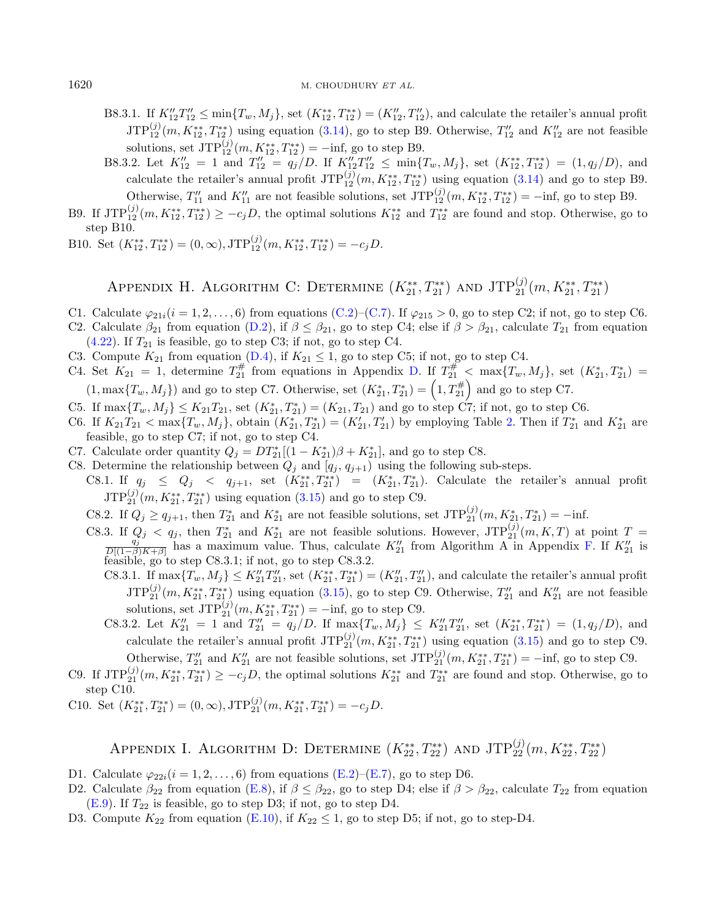- B8.3.1. If  $K''_{12}T''_{12} \le \min\{T_w, M_j\}$ , set  $(K^{**}_{12}, T^{**}_{12}) = (K''_{12}, T''_{12})$ , and calculate the retailer's annual profit  $JTP_{12}^{(j)}(m,K_{12}^{**},T_{12}^{**})$  using equation [\(3.14\)](#page-9-1), go to step B9. Otherwise,  $T''_{12}$  and  $K''_{12}$  are not feasible solutions, set  $JTP_{12}^{(j)}(m, K_{12}^{**}, T_{12}^{**}) = -\text{inf, go to step B9}.$
- B8.3.2. Let  $K''_{12} = 1$  and  $T''_{12} = q_j/D$ . If  $K''_{12}T''_{12} \le \min\{T_w, M_j\}$ , set  $(K^{**}_{12}, T^{**}_{12}) = (1, q_j/D)$ , and calculate the retailer's annual profit  $JTP_{12}^{(j)}(m, K_{12}^{**}, T_{12}^{**})$  using equation [\(3.14\)](#page-9-1) and go to step B9.
- Otherwise,  $T''_{11}$  and  $K''_{11}$  are not feasible solutions, set  $JTP_{12}^{(j)}(m, K_{12}^{**}, T_{12}^{**}) = -\inf$ , go to step B9. B9. If  $JTP_{12}^{(j)}(m, K_{12}^{**}, T_{12}^{**}) \geq -c_jD$ , the optimal solutions  $K_{12}^{**}$  and  $T_{12}^{**}$  are found and stop. Otherwise, go to step B10.
- B10. Set  $(K_{12}^{**}, T_{12}^{**}) = (0, \infty), JTP_{12}^{(j)}(m, K_{12}^{**}, T_{12}^{**}) = -c_j D.$

## APPENDIX H. ALGORITHM C: DETERMINE  $(K_{21}^{**}, T_{21}^{**})$  and  $JTP_{21}^{(j)}(m, K_{21}^{**}, T_{21}^{**})$

- <span id="page-27-0"></span>C1. Calculate  $\varphi_{21i} (i = 1, 2, \ldots, 6)$  from equations [\(C.2\)](#page-22-8)–[\(C.7\)](#page-22-9). If  $\varphi_{215} > 0$ , go to step C2; if not, go to step C6.
- C2. Calculate  $\beta_{21}$  from equation [\(D.2\)](#page-23-3), if  $\beta \leq \beta_{21}$ , go to step C4; else if  $\beta > \beta_{21}$ , calculate  $T_{21}$  from equation  $(4.22)$ . If  $T_{21}$  is feasible, go to step C3; if not, go to step C4.
- C3. Compute  $K_{21}$  from equation [\(D.4\)](#page-23-4), if  $K_{21} \leq 1$ , go to step C5; if not, go to step C4.
- C4. Set  $K_{21} = 1$ , determine  $T_{21}^{\#}$  from equations in Appendix [D.](#page-23-0) If  $T_{21}^{\#} < \max\{T_w, M_j\}$ , set  $(K_{21}^*, T_{21}^*) =$  $(1, \max\{T_w, M_j\})$  and go to step C7. Otherwise, set  $(K_{21}^*, T_{21}^*) = (1, T_{21}^*)$  and go to step C7.
- C5. If  $\max\{T_w, M_j\} \le K_{21}T_{21}$ , set  $(K_{21}^*, T_{21}^*) = (K_{21}, T_{21})$  and go to step C7; if not, go to step C6.
- C6. If  $K_{21}T_{21} < \max\{T_w, M_j\}$ , obtain  $(K_{21}^*, T_{21}^*) = (K_{21}', T_{21}')$  by employing Table [2.](#page-15-1) Then if  $T_{21}^*$  and  $K_{21}^*$  are feasible, go to step C7; if not, go to step C4.
- C7. Calculate order quantity  $Q_j = DT_{21}^*[(1 K_{21}^*)\beta + K_{21}^*]$ , and go to step C8.
- C8. Determine the relationship between  $Q_j$  and  $\overline{[q_j, q_{j+1})}$  using the following sub-steps.
	- C8.1. If  $q_j \leq Q_j \leq q_{j+1}$ , set  $(K_{21}^{**}, T_{21}^{**}) = (K_{21}^{*}, T_{21}^{*})$ . Calculate the retailer's annual profit  $JTP_{21}^{(j)}(m, K_{21}^{**}, T_{21}^{**})$  using equation [\(3.15\)](#page-10-5) and go to step C9.
	- C8.2. If  $Q_j \ge q_{j+1}$ , then  $T_{21}^*$  and  $K_{21}^*$  are not feasible solutions, set  $\text{JTP}_{21}^{(j)}(m, K_{21}^*, T_{21}^*) = -\text{inf.}$
	- C8.3. If  $Q_j < q_j$ , then  $T_{21}^*$  and  $K_{21}^*$  are not feasible solutions. However,  $JTP_{21}^{(j)}(m, K, T)$  at point  $T = \frac{q_j}{D[(1-\beta)K+\beta]}$  has a maximum value. Thus, calculate  $K_{21}''$  from Algorithm A in Appendix [F.](#page-25-0) If  $K_{21}$ feasible, go to step C8.3.1; if not, go to step C8.3.2.
		- C8.3.1. If  $\max\{T_w, M_j\} \le K''_{21}T''_{21}$ , set  $(K^{**}_{21}, T^{**}_{21}) = (K''_{21}, T''_{21})$ , and calculate the retailer's annual profit  $JTP_{21}^{(j)}(m, K_{21}^{**}, T_{21}^{**})$  using equation [\(3.15\)](#page-10-5), go to step C9. Otherwise,  $T''_{21}$  and  $K''_{21}$  are not feasible solutions, set  $JTP_{21}^{(j)}(m, K_{21}^{**}, T_{21}^{**}) = -\text{inf, go to step C9}.$
		- C8.3.2. Let  $K''_{21} = 1$  and  $T''_{21} = q_j/D$ . If  $\max\{T_w, M_j\} \le K''_{21}T''_{21}$ , set  $(K^{**}_{21}, T^{**}_{21}) = (1, q_j/D)$ , and calculate the retailer's annual profit  $JTP_{21}^{(j)}(m, K_{21}^{**}, T_{21}^{**})$  using equation [\(3.15\)](#page-10-5) and go to step C9.

Otherwise,  $T''_{21}$  and  $K''_{21}$  are not feasible solutions, set  $\text{JTP}_{21}^{(j)}(m, K_{21}^{**}, T_{21}^{**}) = -\text{inf}$ , go to step C9. C9. If  $JTP_{21}^{(j)}(m, K_{21}^{**}, T_{21}^{**}) \geq -c_jD$ , the optimal solutions  $K_{21}^{**}$  and  $T_{21}^{**}$  are found and stop. Otherwise, go to

step C10.

C10. Set  $(K_{21}^{**}, T_{21}^{**}) = (0, \infty), JTP_{21}^{(j)}(m, K_{21}^{**}, T_{21}^{**}) = -c_j D.$ 

## APPENDIX I. ALGORITHM D: DETERMINE  $(K_{22}^{**}, T_{22}^{**})$  and  $JTP_{22}^{(j)}(m, K_{22}^{**}, T_{22}^{**})$

- <span id="page-27-1"></span>D1. Calculate  $\varphi_{22i} (i = 1, 2, \ldots, 6)$  from equations [\(E.2\)](#page-24-3)–[\(E.7\)](#page-24-4), go to step D6.
- D2. Calculate  $\beta_{22}$  from equation [\(E.8\)](#page-25-1), if  $\beta \leq \beta_{22}$ , go to step D4; else if  $\beta > \beta_{22}$ , calculate  $T_{22}$  from equation  $(E.9)$ . If  $T_{22}$  is feasible, go to step D3; if not, go to step D4.
- D3. Compute  $K_{22}$  from equation [\(E.10\)](#page-25-3), if  $K_{22} \le 1$ , go to step D5; if not, go to step-D4.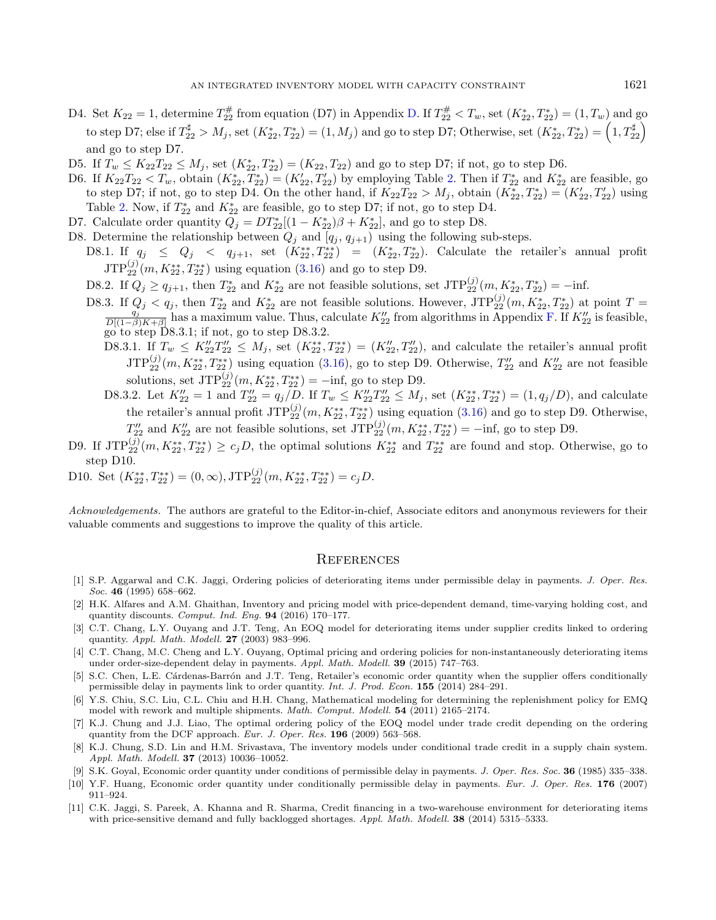- D4. Set  $K_{22} = 1$ , determine  $T_{22}^{\#}$  from equation (D7) in Appendix [D.](#page-23-0) If  $T_{22}^{\#} < T_w$ , set  $(K_{22}^*, T_{22}^*) = (1, T_w)$  and go to step D7; else if  $T_{22}^{\sharp} > M_j$ , set  $(K_{22}^*, T_{22}^*) = (1, M_j)$  and go to step D7; Otherwise, set  $(K_{22}^*, T_{22}^*) = (1, T_{22}^{\sharp})$ and go to step D7.
- D5. If  $T_w \le K_{22}T_{22} \le M_j$ , set  $(K_{22}^*, T_{22}^*) = (K_{22}, T_{22})$  and go to step D7; if not, go to step D6.
- D6. If  $K_{22}T_{22} < T_w$ , obtain  $(K_{22}^*, T_{22}^*) = (K_{22}', T_{22}')$  by employing Table [2.](#page-15-1) Then if  $T_{22}^*$  and  $K_{22}^*$  are feasible, go to step D7; if not, go to step D4. On the other hand, if  $K_{22}T_{22} > M_j$ , obtain  $(K_{22}^*, T_{22}^*) = (K_{22}', T_{22}')$  using Table [2.](#page-15-1) Now, if  $T_{22}^*$  and  $K_{22}^*$  are feasible, go to step D7; if not, go to step D4.
- D7. Calculate order quantity  $Q_j = DT^*_{22}[(1 K^*_{22})\beta + K^*_{22}],$  and go to step D8.
- D8. Determine the relationship between  $Q_j$  and  $[q_j, q_{j+1}]$  using the following sub-steps.
	- D8.1. If  $q_j \leq Q_j \leq q_{j+1}$ , set  $(K_{22}^{**}, T_{22}^{**}) = (K_{22}^{*}, T_{22}^{*})$ . Calculate the retailer's annual profit  $JTP_{22}^{(j)}(m, K_{22}^{**}, T_{22}^{**})$  using equation [\(3.16\)](#page-10-0) and go to step D9.
	- D8.2. If  $Q_j \ge q_{j+1}$ , then  $T_{22}^*$  and  $K_{22}^*$  are not feasible solutions, set  $\text{JTP}_{22}^{(j)}(m, K_{22}^*, T_{22}^*) = -\text{inf.}$
	- D8.3. If  $Q_j < q_j$ , then  $T_{22}^*$  and  $K_{22}^*$  are not feasible solutions. However,  $JTP_{22}^{(j)}(m, K_{22}^*, T_{22}^*)$  at point  $T = \frac{q_j}{D[(1-\beta)K+\beta]}$  has a maximum value. Thus, calculate  $K_{22}^{\prime\prime}$  from algorithms in Appendi go to step D8.3.1; if not, go to step D8.3.2.
		- D8.3.1. If  $T_w \n\t\le K''_{22}T''_{22} \le M_j$ , set  $(K^{**}_{22}, T^{**}_{22}) = (K''_{22}, T''_{22})$ , and calculate the retailer's annual profit  $JTP_{22}^{(j)}(m, K_{22}^{**}, T_{22}^{**})$  using equation [\(3.16\)](#page-10-0), go to step D9. Otherwise,  $T''_{22}$  and  $K''_{22}$  are not feasible solutions, set  $JTP_{22}^{(j)}(m, K_{22}^{**}, T_{22}^{**}) = -\text{inf, go to step D9}.$
		- D8.3.2. Let  $K_{22}'' = 1$  and  $T_{22}'' = q_j/D$ . If  $T_w \leq K_{22}'' T_{22}'' \leq M_j$ , set  $(K_{22}^{**}, T_{22}^{**}) = (1, q_j/D)$ , and calculate the retailer's annual profit  $\text{JTP}_{22}^{(j)}(m, K_{22}^{**}, T_{22}^{**})$  using equation  $(3.16)$  and go to step D9. Otherwise,  $T''_{22}$  and  $K''_{22}$  are not feasible solutions, set  $\text{JTP}_{22}^{(j)}(m, K_{22}^{**}, T_{22}^{**}) = -\text{inf, go to step D9}.$
- <span id="page-28-10"></span><span id="page-28-3"></span><span id="page-28-1"></span>D9. If  $JTP_{22}^{(j)}(m, K_{22}^{**}, T_{22}^{**}) \ge c_j D$ , the optimal solutions  $K_{22}^{**}$  and  $T_{22}^{**}$  are found and stop. Otherwise, go to step D10.
- <span id="page-28-9"></span>D10. Set  $(K_{22}^{**}, T_{22}^{**}) = (0, \infty), JTP_{22}^{(j)}(m, K_{22}^{**}, T_{22}^{**}) = c_j D.$

<span id="page-28-8"></span><span id="page-28-4"></span>Acknowledgements. The authors are grateful to the Editor-in-chief, Associate editors and anonymous reviewers for their valuable comments and suggestions to improve the quality of this article.

#### **REFERENCES**

- <span id="page-28-7"></span><span id="page-28-6"></span>[1] S.P. Aggarwal and C.K. Jaggi, Ordering policies of deteriorating items under permissible delay in payments. J. Oper. Res. Soc. 46 (1995) 658-662.
- <span id="page-28-5"></span><span id="page-28-0"></span>[2] H.K. Alfares and A.M. Ghaithan, Inventory and pricing model with price-dependent demand, time-varying holding cost, and quantity discounts. Comput. Ind. Eng. 94 (2016) 170–177.
- <span id="page-28-2"></span>[3] C.T. Chang, L.Y. Ouyang and J.T. Teng, An EOQ model for deteriorating items under supplier credits linked to ordering quantity. Appl. Math. Modell. 27 (2003) 983–996.
- [4] C.T. Chang, M.C. Cheng and L.Y. Ouyang, Optimal pricing and ordering policies for non-instantaneously deteriorating items under order-size-dependent delay in payments. Appl. Math. Modell. 39 (2015) 747–763.
- [5] S.C. Chen, L.E. Cárdenas-Barrón and J.T. Teng, Retailer's economic order quantity when the supplier offers conditionally permissible delay in payments link to order quantity. Int. J. Prod. Econ. 155 (2014) 284–291.
- [6] Y.S. Chiu, S.C. Liu, C.L. Chiu and H.H. Chang, Mathematical modeling for determining the replenishment policy for EMQ model with rework and multiple shipments. Math. Comput. Modell. 54 (2011) 2165–2174.
- [7] K.J. Chung and J.J. Liao, The optimal ordering policy of the EOQ model under trade credit depending on the ordering quantity from the DCF approach. Eur. J. Oper. Res. 196 (2009) 563-568.
- [8] K.J. Chung, S.D. Lin and H.M. Srivastava, The inventory models under conditional trade credit in a supply chain system. Appl. Math. Modell. 37 (2013) 10036–10052.
- [9] S.K. Goyal, Economic order quantity under conditions of permissible delay in payments. J. Oper. Res. Soc. 36 (1985) 335-338.
- [10] Y.F. Huang, Economic order quantity under conditionally permissible delay in payments. Eur. J. Oper. Res. 176 (2007) 911–924.
- [11] C.K. Jaggi, S. Pareek, A. Khanna and R. Sharma, Credit financing in a two-warehouse environment for deteriorating items with price-sensitive demand and fully backlogged shortages. Appl. Math. Modell. **38** (2014) 5315–5333.